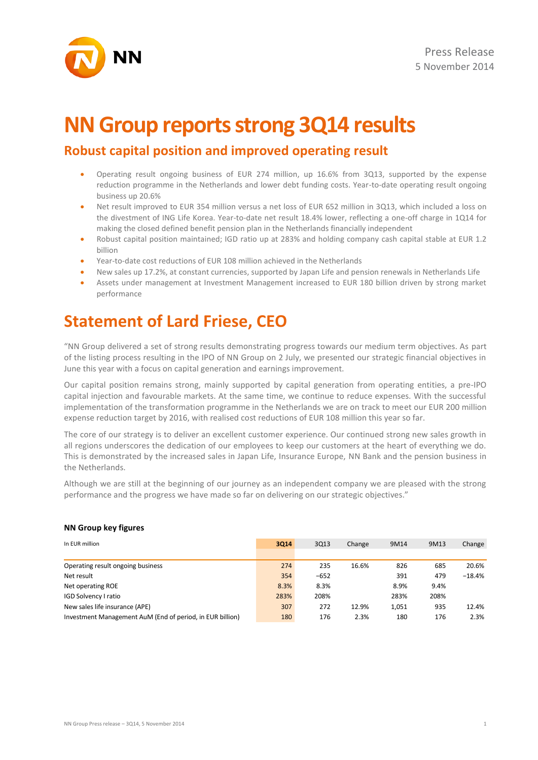

# **NN Group reports strong 3Q14 results**

### **Robust capital position and improved operating result**

- Operating result ongoing business of EUR 274 million, up 16.6% from 3Q13, supported by the expense reduction programme in the Netherlands and lower debt funding costs. Year-to-date operating result ongoing business up 20.6%
- Net result improved to EUR 354 million versus a net loss of EUR 652 million in 3Q13, which included a loss on the divestment of ING Life Korea. Year-to-date net result 18.4% lower, reflecting a one-off charge in 1Q14 for making the closed defined benefit pension plan in the Netherlands financially independent
- Robust capital position maintained; IGD ratio up at 283% and holding company cash capital stable at EUR 1.2 billion
- Year-to-date cost reductions of EUR 108 million achieved in the Netherlands
- New sales up 17.2%, at constant currencies, supported by Japan Life and pension renewals in Netherlands Life
- Assets under management at Investment Management increased to EUR 180 billion driven by strong market performance

# **Statement of Lard Friese, CEO**

"NN Group delivered a set of strong results demonstrating progress towards our medium term objectives. As part of the listing process resulting in the IPO of NN Group on 2 July, we presented our strategic financial objectives in June this year with a focus on capital generation and earnings improvement.

Our capital position remains strong, mainly supported by capital generation from operating entities, a pre-IPO capital injection and favourable markets. At the same time, we continue to reduce expenses. With the successful implementation of the transformation programme in the Netherlands we are on track to meet our EUR 200 million expense reduction target by 2016, with realised cost reductions of EUR 108 million this year so far.

The core of our strategy is to deliver an excellent customer experience. Our continued strong new sales growth in all regions underscores the dedication of our employees to keep our customers at the heart of everything we do. This is demonstrated by the increased sales in Japan Life, Insurance Europe, NN Bank and the pension business in the Netherlands.

Although we are still at the beginning of our journey as an independent company we are pleased with the strong performance and the progress we have made so far on delivering on our strategic objectives."

#### **NN Group key figures**

| In EUR million                                            | 3Q14 | 3Q13   | Change | 9M14  | 9M13 | Change   |
|-----------------------------------------------------------|------|--------|--------|-------|------|----------|
|                                                           |      |        |        |       |      |          |
| Operating result ongoing business                         | 274  | 235    | 16.6%  | 826   | 685  | 20.6%    |
| Net result                                                | 354  | $-652$ |        | 391   | 479  | $-18.4%$ |
| Net operating ROE                                         | 8.3% | 8.3%   |        | 8.9%  | 9.4% |          |
| IGD Solvency I ratio                                      | 283% | 208%   |        | 283%  | 208% |          |
| New sales life insurance (APE)                            | 307  | 272    | 12.9%  | 1,051 | 935  | 12.4%    |
| Investment Management AuM (End of period, in EUR billion) | 180  | 176    | 2.3%   | 180   | 176  | 2.3%     |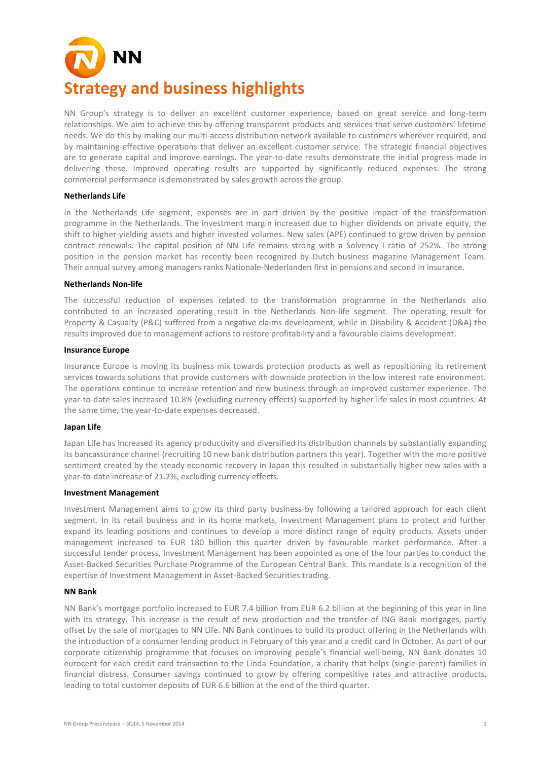# **Strategy and business highlights**

NN Group's strategy is to deliver an excellent customer experience, based on great service and long-term relationships. We aim to achieve this by offering transparent products and services that serve customers' lifetime needs. We do this by making our multi-access distribution network available to customers wherever required, and by maintaining effective operations that deliver an excellent customer service. The strategic financial objectives are to generate capital and improve earnings. The year-to-date results demonstrate the initial progress made in delivering these. Improved operating results are supported by significantly reduced expenses. The strong commercial performance is demonstrated by sales growth across the group.

#### **Netherlands Life**

In the Netherlands Life segment, expenses are in part driven by the positive impact of the transformation programme in the Netherlands. The investment margin increased due to higher dividends on private equity, the shift to higher-yielding assets and higher invested volumes. New sales (APE) continued to grow driven by pension contract renewals. The capital position of NN Life remains strong with a Solvency I ratio of 252%. The strong position in the pension market has recently been recognized by Dutch business magazine Management Team. Their annual survey among managers ranks Nationale-Nederlanden first in pensions and second in insurance.

#### **Netherlands Non-life**

The successful reduction of expenses related to the transformation programme in the Netherlands also contributed to an increased operating result in the Netherlands Non-life segment. The operating result for Property & Casualty (P&C) suffered from a negative claims development, while in Disability & Accident (D&A) the results improved due to management actions to restore profitability and a favourable claims development.

#### **Insurance Europe**

Insurance Europe is moving its business mix towards protection products as well as repositioning its retirement services towards solutions that provide customers with downside protection in the low interest rate environment. The operations continue to increase retention and new business through an improved customer experience. The year-to-date sales increased 10.8% (excluding currency effects) supported by higher life sales in most countries. At the same time, the year-to-date expenses decreased.

#### **Japan Life**

Japan Life has increased its agency productivity and diversified its distribution channels by substantially expanding its bancassurance channel (recruiting 10 new bank distribution partners this year). Together with the more positive sentiment created by the steady economic recovery in Japan this resulted in substantially higher new sales with a year-to-date increase of 21.2%, excluding currency effects.

#### **Investment Management**

Investment Management aims to grow its third party business by following a tailored approach for each client segment. In its retail business and in its home markets, Investment Management plans to protect and further expand its leading positions and continues to develop a more distinct range of equity products. Assets under management increased to EUR 180 billion this quarter driven by favourable market performance. After a successful tender process, Investment Management has been appointed as one of the four parties to conduct the Asset-Backed Securities Purchase Programme of the European Central Bank. This mandate is a recognition of the expertise of Investment Management in Asset-Backed Securities trading.

#### **NN Bank**

NN Bank's mortgage portfolio increased to EUR 7.4 billion from EUR 6.2 billion at the beginning of this year in line with its strategy. This increase is the result of new production and the transfer of ING Bank mortgages, partly offset by the sale of mortgages to NN Life. NN Bank continues to build its product offering in the Netherlands with the introduction of a consumer lending product in February of this year and a credit card in October. As part of our corporate citizenship programme that focuses on improving people's financial well-being, NN Bank donates 10 eurocent for each credit card transaction to the Linda Foundation, a charity that helps (single-parent) families in financial distress. Consumer savings continued to grow by offering competitive rates and attractive products, leading to total customer deposits of EUR 6.6 billion at the end of the third quarter.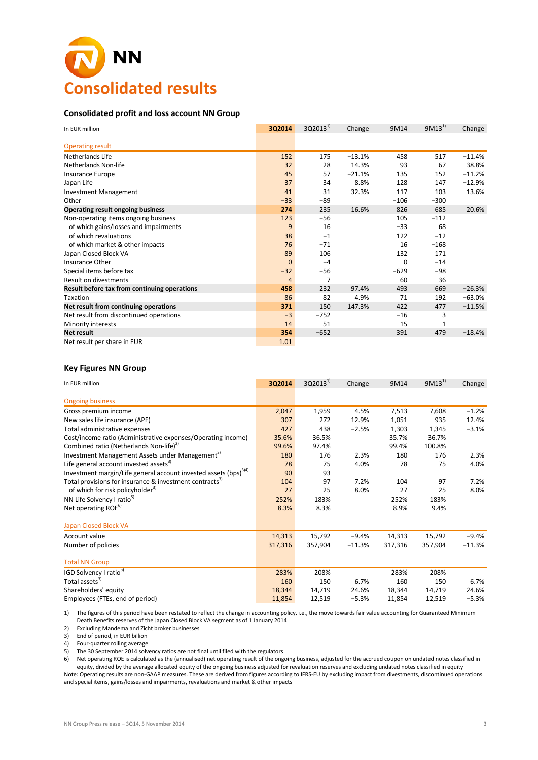

#### **Consolidated profit and loss account NN Group**

| In EUR million                               | 3Q2014         | $3Q2013^{1}$ | Change   | 9M14     | $9M13^{1}$ | Change   |
|----------------------------------------------|----------------|--------------|----------|----------|------------|----------|
| <b>Operating result</b>                      |                |              |          |          |            |          |
| Netherlands Life                             | 152            | 175          | $-13.1%$ | 458      | 517        | $-11.4%$ |
| Netherlands Non-life                         | 32             | 28           | 14.3%    | 93       | 67         | 38.8%    |
| Insurance Europe                             | 45             | 57           | $-21.1%$ | 135      | 152        | $-11.2%$ |
| Japan Life                                   | 37             | 34           | 8.8%     | 128      | 147        | $-12.9%$ |
| <b>Investment Management</b>                 | 41             | 31           | 32.3%    | 117      | 103        | 13.6%    |
| Other                                        | $-33$          | $-89$        |          | $-106$   | $-300$     |          |
| Operating result ongoing business            | 274            | 235          | 16.6%    | 826      | 685        | 20.6%    |
| Non-operating items ongoing business         | 123            | $-56$        |          | 105      | $-112$     |          |
| of which gains/losses and impairments        | 9              | 16           |          | $-33$    | 68         |          |
| of which revaluations                        | 38             | $-1$         |          | 122      | $-12$      |          |
| of which market & other impacts              | 76             | $-71$        |          | 16       | $-168$     |          |
| Japan Closed Block VA                        | 89             | 106          |          | 132      | 171        |          |
| Insurance Other                              | $\mathbf{0}$   | $-4$         |          | $\Omega$ | $-14$      |          |
| Special items before tax                     | $-32$          | $-56$        |          | $-629$   | $-98$      |          |
| <b>Result on divestments</b>                 | $\overline{4}$ | 7            |          | 60       | 36         |          |
| Result before tax from continuing operations | 458            | 232          | 97.4%    | 493      | 669        | $-26.3%$ |
| Taxation                                     | 86             | 82           | 4.9%     | 71       | 192        | $-63.0%$ |
| Net result from continuing operations        | 371            | 150          | 147.3%   | 422      | 477        | $-11.5%$ |
| Net result from discontinued operations      | $-3$           | $-752$       |          | $-16$    | 3          |          |
| Minority interests                           | 14             | 51           |          | 15       | 1          |          |
| <b>Net result</b>                            | 354            | $-652$       |          | 391      | 479        | $-18.4%$ |
| Net result per share in EUR                  | 1.01           |              |          |          |            |          |

#### **Key Figures NN Group**

| In EUR million                                                               | 3Q2014  | $3Q2013^{1}$ | Change   | 9M14    | $9M13^{1}$ | Change   |
|------------------------------------------------------------------------------|---------|--------------|----------|---------|------------|----------|
| <b>Ongoing business</b>                                                      |         |              |          |         |            |          |
| Gross premium income                                                         | 2,047   | 1,959        | 4.5%     | 7,513   | 7,608      | $-1.2%$  |
| New sales life insurance (APE)                                               | 307     | 272          | 12.9%    | 1,051   | 935        | 12.4%    |
| Total administrative expenses                                                | 427     | 438          | $-2.5%$  | 1,303   | 1,345      | $-3.1%$  |
| Cost/income ratio (Administrative expenses/Operating income)                 | 35.6%   | 36.5%        |          | 35.7%   | 36.7%      |          |
| Combined ratio (Netherlands Non-life) <sup>2)</sup>                          | 99.6%   | 97.4%        |          | 99.4%   | 100.8%     |          |
| Investment Management Assets under Management <sup>3)</sup>                  | 180     | 176          | 2.3%     | 180     | 176        | 2.3%     |
| Life general account invested assets <sup>3)</sup>                           | 78      | 75           | 4.0%     | 78      | 75         | 4.0%     |
| Investment margin/Life general account invested assets (bps) <sup>3/4)</sup> | 90      | 93           |          |         |            |          |
|                                                                              |         |              |          |         |            |          |
| Total provisions for insurance & investment contracts <sup>3)</sup>          | 104     | 97           | 7.2%     | 104     | 97         | 7.2%     |
| of which for risk policyholder <sup>3)</sup>                                 | 27      | 25           | 8.0%     | 27      | 25         | 8.0%     |
| NN Life Solvency I ratio <sup>5)</sup>                                       | 252%    | 183%         |          | 252%    | 183%       |          |
| Net operating ROE <sup>6)</sup>                                              | 8.3%    | 8.3%         |          | 8.9%    | 9.4%       |          |
| Japan Closed Block VA                                                        |         |              |          |         |            |          |
| Account value                                                                | 14,313  | 15,792       | $-9.4%$  | 14,313  | 15,792     | $-9.4%$  |
| Number of policies                                                           | 317,316 | 357,904      | $-11.3%$ | 317,316 | 357,904    | $-11.3%$ |
| <b>Total NN Group</b>                                                        |         |              |          |         |            |          |
| IGD Solvency I ratio <sup>5)</sup>                                           | 283%    | 208%         |          | 283%    | 208%       |          |
| Total assets <sup>3)</sup>                                                   | 160     | 150          | 6.7%     | 160     | 150        | 6.7%     |
| Shareholders' equity                                                         | 18,344  | 14,719       | 24.6%    | 18,344  | 14,719     | 24.6%    |
| Employees (FTEs, end of period)                                              | 11,854  | 12,519       | $-5.3%$  | 11,854  | 12,519     | $-5.3%$  |

1) The figures of this period have been restated to reflect the change in accounting policy, i.e., the move towards fair value accounting for Guaranteed Minimum Death Benefits reserves of the Japan Closed Block VA segment as of 1 January 2014

2) Excluding Mandema and Zicht broker businesses

3) End of period, in EUR billion

4) Four-quarter rolling average

5) The 30 September 2014 solvency ratios are not final until filed with the regulators

6) Net operating ROE is calculated as the (annualised) net operating result of the ongoing business, adjusted for the accrued coupon on undated notes classified in equity, divided by the average allocated equity of the ongoing business adjusted for revaluation reserves and excluding undated notes classified in equity Note: Operating results are non-GAAP measures. These are derived from figures according to IFRS-EU by excluding impact from divestments, discontinued operations

and special items, gains/losses and impairments, revaluations and market & other impacts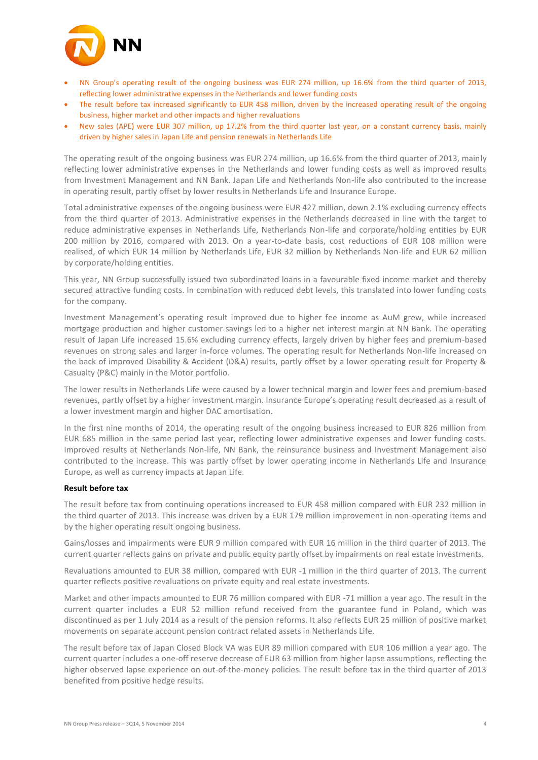

- NN Group's operating result of the ongoing business was EUR 274 million, up 16.6% from the third quarter of 2013, reflecting lower administrative expenses in the Netherlands and lower funding costs
- The result before tax increased significantly to EUR 458 million, driven by the increased operating result of the ongoing business, higher market and other impacts and higher revaluations
- New sales (APE) were EUR 307 million, up 17.2% from the third quarter last year, on a constant currency basis, mainly driven by higher sales in Japan Life and pension renewals in Netherlands Life

The operating result of the ongoing business was EUR 274 million, up 16.6% from the third quarter of 2013, mainly reflecting lower administrative expenses in the Netherlands and lower funding costs as well as improved results from Investment Management and NN Bank. Japan Life and Netherlands Non-life also contributed to the increase in operating result, partly offset by lower results in Netherlands Life and Insurance Europe.

Total administrative expenses of the ongoing business were EUR 427 million, down 2.1% excluding currency effects from the third quarter of 2013. Administrative expenses in the Netherlands decreased in line with the target to reduce administrative expenses in Netherlands Life, Netherlands Non-life and corporate/holding entities by EUR 200 million by 2016, compared with 2013. On a year-to-date basis, cost reductions of EUR 108 million were realised, of which EUR 14 million by Netherlands Life, EUR 32 million by Netherlands Non-life and EUR 62 million by corporate/holding entities.

This year, NN Group successfully issued two subordinated loans in a favourable fixed income market and thereby secured attractive funding costs. In combination with reduced debt levels, this translated into lower funding costs for the company.

Investment Management's operating result improved due to higher fee income as AuM grew, while increased mortgage production and higher customer savings led to a higher net interest margin at NN Bank. The operating result of Japan Life increased 15.6% excluding currency effects, largely driven by higher fees and premium-based revenues on strong sales and larger in-force volumes. The operating result for Netherlands Non-life increased on the back of improved Disability & Accident (D&A) results, partly offset by a lower operating result for Property & Casualty (P&C) mainly in the Motor portfolio.

The lower results in Netherlands Life were caused by a lower technical margin and lower fees and premium-based revenues, partly offset by a higher investment margin. Insurance Europe's operating result decreased as a result of a lower investment margin and higher DAC amortisation.

In the first nine months of 2014, the operating result of the ongoing business increased to EUR 826 million from EUR 685 million in the same period last year, reflecting lower administrative expenses and lower funding costs. Improved results at Netherlands Non-life, NN Bank, the reinsurance business and Investment Management also contributed to the increase. This was partly offset by lower operating income in Netherlands Life and Insurance Europe, as well as currency impacts at Japan Life.

#### **Result before tax**

The result before tax from continuing operations increased to EUR 458 million compared with EUR 232 million in the third quarter of 2013. This increase was driven by a EUR 179 million improvement in non-operating items and by the higher operating result ongoing business.

Gains/losses and impairments were EUR 9 million compared with EUR 16 million in the third quarter of 2013. The current quarter reflects gains on private and public equity partly offset by impairments on real estate investments.

Revaluations amounted to EUR 38 million, compared with EUR -1 million in the third quarter of 2013. The current quarter reflects positive revaluations on private equity and real estate investments.

Market and other impacts amounted to EUR 76 million compared with EUR -71 million a year ago. The result in the current quarter includes a EUR 52 million refund received from the guarantee fund in Poland, which was discontinued as per 1 July 2014 as a result of the pension reforms. It also reflects EUR 25 million of positive market movements on separate account pension contract related assets in Netherlands Life.

The result before tax of Japan Closed Block VA was EUR 89 million compared with EUR 106 million a year ago. The current quarter includes a one-off reserve decrease of EUR 63 million from higher lapse assumptions, reflecting the higher observed lapse experience on out-of-the-money policies. The result before tax in the third quarter of 2013 benefited from positive hedge results.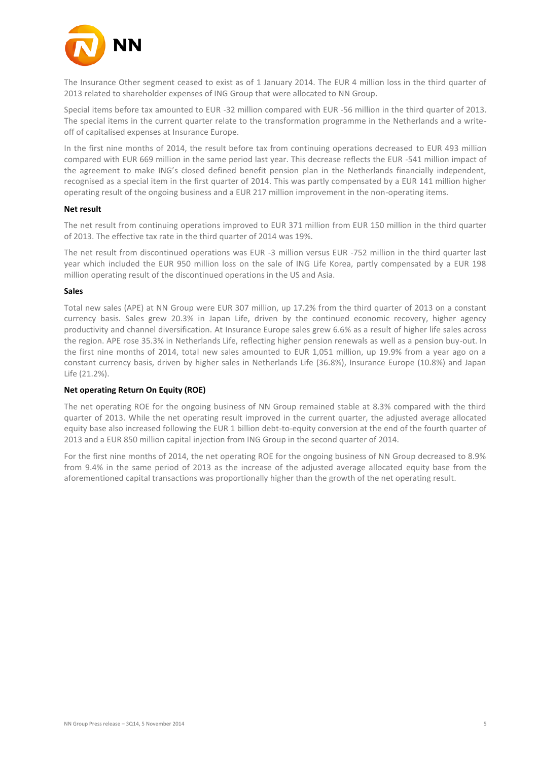

The Insurance Other segment ceased to exist as of 1 January 2014. The EUR 4 million loss in the third quarter of 2013 related to shareholder expenses of ING Group that were allocated to NN Group.

Special items before tax amounted to EUR -32 million compared with EUR -56 million in the third quarter of 2013. The special items in the current quarter relate to the transformation programme in the Netherlands and a writeoff of capitalised expenses at Insurance Europe.

In the first nine months of 2014, the result before tax from continuing operations decreased to EUR 493 million compared with EUR 669 million in the same period last year. This decrease reflects the EUR -541 million impact of the agreement to make ING's closed defined benefit pension plan in the Netherlands financially independent, recognised as a special item in the first quarter of 2014. This was partly compensated by a EUR 141 million higher operating result of the ongoing business and a EUR 217 million improvement in the non-operating items.

#### **Net result**

The net result from continuing operations improved to EUR 371 million from EUR 150 million in the third quarter of 2013. The effective tax rate in the third quarter of 2014 was 19%.

The net result from discontinued operations was EUR -3 million versus EUR -752 million in the third quarter last year which included the EUR 950 million loss on the sale of ING Life Korea, partly compensated by a EUR 198 million operating result of the discontinued operations in the US and Asia.

#### **Sales**

Total new sales (APE) at NN Group were EUR 307 million, up 17.2% from the third quarter of 2013 on a constant currency basis. Sales grew 20.3% in Japan Life, driven by the continued economic recovery, higher agency productivity and channel diversification. At Insurance Europe sales grew 6.6% as a result of higher life sales across the region. APE rose 35.3% in Netherlands Life, reflecting higher pension renewals as well as a pension buy-out. In the first nine months of 2014, total new sales amounted to EUR 1,051 million, up 19.9% from a year ago on a constant currency basis, driven by higher sales in Netherlands Life (36.8%), Insurance Europe (10.8%) and Japan Life (21.2%).

#### **Net operating Return On Equity (ROE)**

The net operating ROE for the ongoing business of NN Group remained stable at 8.3% compared with the third quarter of 2013. While the net operating result improved in the current quarter, the adjusted average allocated equity base also increased following the EUR 1 billion debt-to-equity conversion at the end of the fourth quarter of 2013 and a EUR 850 million capital injection from ING Group in the second quarter of 2014.

For the first nine months of 2014, the net operating ROE for the ongoing business of NN Group decreased to 8.9% from 9.4% in the same period of 2013 as the increase of the adjusted average allocated equity base from the aforementioned capital transactions was proportionally higher than the growth of the net operating result.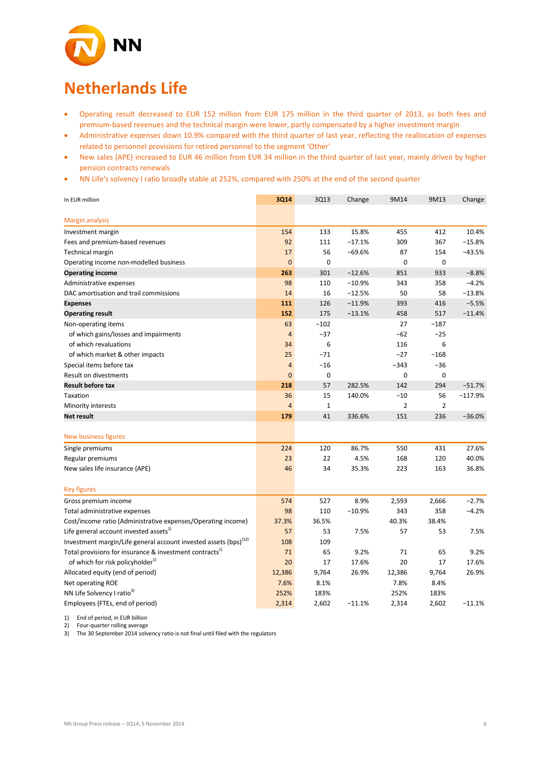

# **Netherlands Life**

- Operating result decreased to EUR 152 million from EUR 175 million in the third quarter of 2013, as both fees and premium-based revenues and the technical margin were lower, partly compensated by a higher investment margin
- Administrative expenses down 10.9% compared with the third quarter of last year, reflecting the reallocation of expenses related to personnel provisions for retired personnel to the segment 'Other'
- New sales (APE) increased to EUR 46 million from EUR 34 million in the third quarter of last year, mainly driven by higher pension contracts renewals
- NN Life's solvency I ratio broadly stable at 252%, compared with 250% at the end of the second quarter

| In EUR million                                                               | 3Q14           | 3Q13        | Change   | 9M14           | 9M13           | Change    |
|------------------------------------------------------------------------------|----------------|-------------|----------|----------------|----------------|-----------|
|                                                                              |                |             |          |                |                |           |
| <b>Margin analysis</b>                                                       |                |             |          |                |                |           |
| Investment margin                                                            | 154            | 133         | 15.8%    | 455            | 412            | 10.4%     |
| Fees and premium-based revenues                                              | 92             | 111         | $-17.1%$ | 309            | 367            | $-15.8%$  |
| <b>Technical margin</b>                                                      | 17             | 56          | $-69.6%$ | 87             | 154            | $-43.5%$  |
| Operating income non-modelled business                                       | $\mathbf 0$    | 0           |          | $\mathbf 0$    | 0              |           |
| <b>Operating income</b>                                                      | 263            | 301         | $-12.6%$ | 851            | 933            | $-8.8%$   |
| Administrative expenses                                                      | 98             | 110         | $-10.9%$ | 343            | 358            | $-4.2%$   |
| DAC amortisation and trail commissions                                       | 14             | 16          | $-12.5%$ | 50             | 58             | $-13.8%$  |
| <b>Expenses</b>                                                              | 111            | 126         | $-11.9%$ | 393            | 416            | $-5.5%$   |
| <b>Operating result</b>                                                      | 152            | 175         | $-13.1%$ | 458            | 517            | $-11.4%$  |
| Non-operating items                                                          | 63             | $-102$      |          | 27             | $-187$         |           |
| of which gains/losses and impairments                                        | $\overline{4}$ | $-37$       |          | $-62$          | $-25$          |           |
| of which revaluations                                                        | 34             | 6           |          | 116            | 6              |           |
| of which market & other impacts                                              | 25             | $-71$       |          | $-27$          | $-168$         |           |
| Special items before tax                                                     | 4              | $-16$       |          | $-343$         | $-36$          |           |
| Result on divestments                                                        | $\overline{0}$ | 0           |          | $\mathbf 0$    | $\mathbf 0$    |           |
| <b>Result before tax</b>                                                     | 218            | 57          | 282.5%   | 142            | 294            | $-51.7%$  |
| Taxation                                                                     | 36             | 15          | 140.0%   | $-10$          | 56             | $-117.9%$ |
| Minority interests                                                           | $\overline{4}$ | $\mathbf 1$ |          | $\overline{2}$ | $\overline{2}$ |           |
| <b>Net result</b>                                                            | 179            | 41          | 336.6%   | 151            | 236            | $-36.0%$  |
|                                                                              |                |             |          |                |                |           |
| New business figures                                                         |                |             |          |                |                |           |
| Single premiums                                                              | 224            | 120         | 86.7%    | 550            | 431            | 27.6%     |
| Regular premiums                                                             | 23             | 22          | 4.5%     | 168            | 120            | 40.0%     |
| New sales life insurance (APE)                                               | 46             | 34          | 35.3%    | 223            | 163            | 36.8%     |
| <b>Key figures</b>                                                           |                |             |          |                |                |           |
| Gross premium income                                                         | 574            | 527         | 8.9%     | 2,593          | 2,666          | $-2.7%$   |
| Total administrative expenses                                                | 98             | 110         | $-10.9%$ | 343            | 358            | $-4.2%$   |
| Cost/income ratio (Administrative expenses/Operating income)                 | 37.3%          | 36.5%       |          | 40.3%          | 38.4%          |           |
| Life general account invested assets <sup>1)</sup>                           | 57             | 53          | 7.5%     | 57             | 53             | 7.5%      |
| Investment margin/Life general account invested assets (bps) <sup>1)2)</sup> | 108            | 109         |          |                |                |           |
| Total provisions for insurance & investment contracts <sup>1)</sup>          | 71             | 65          | 9.2%     | 71             | 65             | 9.2%      |
| of which for risk policyholder <sup>1)</sup>                                 | 20             | 17          | 17.6%    | 20             | 17             | 17.6%     |
| Allocated equity (end of period)                                             | 12,386         | 9,764       | 26.9%    | 12,386         | 9,764          | 26.9%     |
| Net operating ROE                                                            | 7.6%           | 8.1%        |          | 7.8%           | 8.4%           |           |
| NN Life Solvency I ratio <sup>3)</sup>                                       | 252%           | 183%        |          | 252%           | 183%           |           |
| Employees (FTEs, end of period)                                              | 2,314          | 2,602       | $-11.1%$ | 2,314          | 2,602          | $-11.1%$  |

1) End of period, in EUR billion

2) Four-quarter rolling average<br>3) The 30 September 2014 solv

3) The 30 September 2014 solvency ratio is not final until filed with the regulators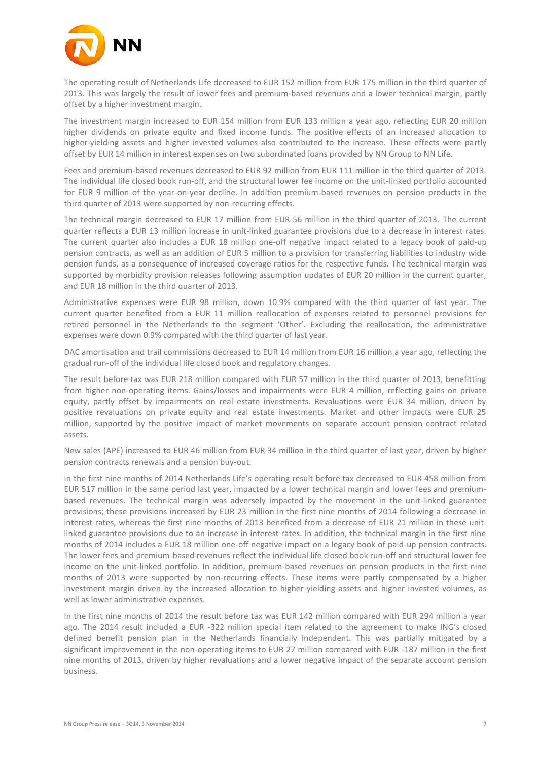

The operating result of Netherlands Life decreased to EUR 152 million from EUR 175 million in the third quarter of 2013. This was largely the result of lower fees and premium-based revenues and a lower technical margin, partly offset by a higher investment margin.

The investment margin increased to EUR 154 million from EUR 133 million a year ago, reflecting EUR 20 million higher dividends on private equity and fixed income funds. The positive effects of an increased allocation to higher-yielding assets and higher invested volumes also contributed to the increase. These effects were partly offset by EUR 14 million in interest expenses on two subordinated loans provided by NN Group to NN Life.

Fees and premium-based revenues decreased to EUR 92 million from EUR 111 million in the third quarter of 2013. The individual life closed book run-off, and the structural lower fee income on the unit-linked portfolio accounted for EUR 9 million of the year-on-year decline. In addition premium-based revenues on pension products in the third quarter of 2013 were supported by non-recurring effects.

The technical margin decreased to EUR 17 million from EUR 56 million in the third quarter of 2013. The current quarter reflects a EUR 13 million increase in unit-linked guarantee provisions due to a decrease in interest rates. The current quarter also includes a EUR 18 million one-off negative impact related to a legacy book of paid-up pension contracts, as well as an addition of EUR 5 million to a provision for transferring liabilities to industry wide pension funds, as a consequence of increased coverage ratios for the respective funds. The technical margin was supported by morbidity provision releases following assumption updates of EUR 20 million in the current quarter, and EUR 18 million in the third quarter of 2013.

Administrative expenses were EUR 98 million, down 10.9% compared with the third quarter of last year. The current quarter benefited from a EUR 11 million reallocation of expenses related to personnel provisions for retired personnel in the Netherlands to the segment 'Other'. Excluding the reallocation, the administrative expenses were down 0.9% compared with the third quarter of last year.

DAC amortisation and trail commissions decreased to EUR 14 million from EUR 16 million a year ago, reflecting the gradual run-off of the individual life closed book and regulatory changes.

The result before tax was EUR 218 million compared with EUR 57 million in the third quarter of 2013, benefitting from higher non-operating items. Gains/losses and impairments were EUR 4 million, reflecting gains on private equity, partly offset by impairments on real estate investments. Revaluations were EUR 34 million, driven by positive revaluations on private equity and real estate investments. Market and other impacts were EUR 25 million, supported by the positive impact of market movements on separate account pension contract related assets.

New sales (APE) increased to EUR 46 million from EUR 34 million in the third quarter of last year, driven by higher pension contracts renewals and a pension buy-out.

In the first nine months of 2014 Netherlands Life's operating result before tax decreased to EUR 458 million from EUR 517 million in the same period last year, impacted by a lower technical margin and lower fees and premiumbased revenues. The technical margin was adversely impacted by the movement in the unit-linked guarantee provisions; these provisions increased by EUR 23 million in the first nine months of 2014 following a decrease in interest rates, whereas the first nine months of 2013 benefited from a decrease of EUR 21 million in these unitlinked guarantee provisions due to an increase in interest rates. In addition, the technical margin in the first nine months of 2014 includes a EUR 18 million one-off negative impact on a legacy book of paid-up pension contracts. The lower fees and premium-based revenues reflect the individual life closed book run-off and structural lower fee income on the unit-linked portfolio. In addition, premium-based revenues on pension products in the first nine months of 2013 were supported by non-recurring effects. These items were partly compensated by a higher investment margin driven by the increased allocation to higher-yielding assets and higher invested volumes, as well as lower administrative expenses.

In the first nine months of 2014 the result before tax was EUR 142 million compared with EUR 294 million a year ago. The 2014 result included a EUR -322 million special item related to the agreement to make ING's closed defined benefit pension plan in the Netherlands financially independent. This was partially mitigated by a significant improvement in the non-operating items to EUR 27 million compared with EUR -187 million in the first nine months of 2013, driven by higher revaluations and a lower negative impact of the separate account pension business.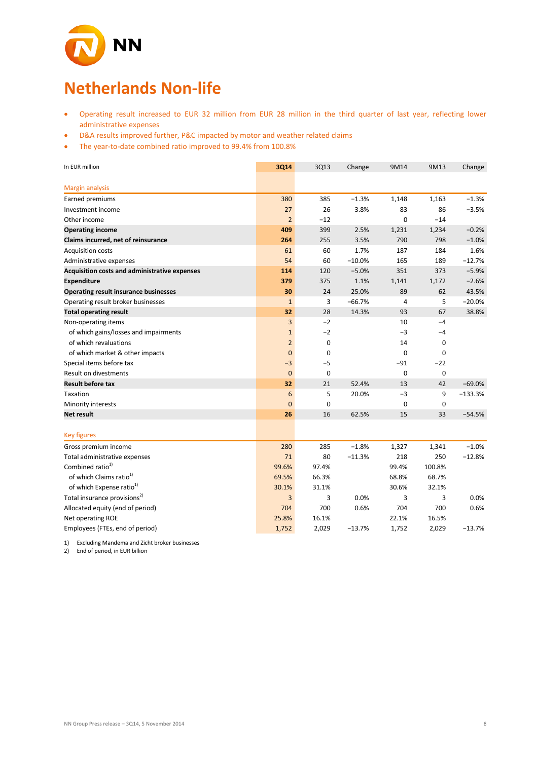

# **Netherlands Non-life**

- Operating result increased to EUR 32 million from EUR 28 million in the third quarter of last year, reflecting lower administrative expenses
- D&A results improved further, P&C impacted by motor and weather related claims
- The year-to-date combined ratio improved to 99.4% from 100.8%

| In EUR million                                | 3Q14           | 3Q13        | Change   | 9M14           | 9M13        | Change    |
|-----------------------------------------------|----------------|-------------|----------|----------------|-------------|-----------|
| Margin analysis                               |                |             |          |                |             |           |
| Earned premiums                               | 380            | 385         | $-1.3%$  | 1,148          | 1,163       | $-1.3%$   |
| Investment income                             | 27             | 26          | 3.8%     | 83             | 86          | $-3.5%$   |
| Other income                                  | $\overline{2}$ | $-12$       |          | $\mathbf 0$    | $-14$       |           |
| <b>Operating income</b>                       | 409            | 399         | 2.5%     | 1,231          | 1,234       | $-0.2%$   |
| Claims incurred, net of reinsurance           | 264            | 255         | 3.5%     | 790            | 798         | $-1.0%$   |
| <b>Acquisition costs</b>                      | 61             | 60          | 1.7%     | 187            | 184         | 1.6%      |
| Administrative expenses                       | 54             | 60          | $-10.0%$ | 165            | 189         | $-12.7%$  |
| Acquisition costs and administrative expenses | 114            | 120         | $-5.0%$  | 351            | 373         | $-5.9%$   |
| <b>Expenditure</b>                            | 379            | 375         | 1.1%     | 1,141          | 1,172       | $-2.6%$   |
| <b>Operating result insurance businesses</b>  | 30             | 24          | 25.0%    | 89             | 62          | 43.5%     |
| Operating result broker businesses            | $\mathbf{1}$   | 3           | $-66.7%$ | $\overline{4}$ | 5           | $-20.0%$  |
| <b>Total operating result</b>                 | 32             | 28          | 14.3%    | 93             | 67          | 38.8%     |
| Non-operating items                           | 3              | $-2$        |          | 10             | $-4$        |           |
| of which gains/losses and impairments         | $\mathbf{1}$   | $-2$        |          | $-3$           | $-4$        |           |
| of which revaluations                         | $\overline{2}$ | $\mathbf 0$ |          | 14             | $\mathbf 0$ |           |
| of which market & other impacts               | $\mathbf{0}$   | $\mathbf 0$ |          | $\mathbf 0$    | $\mathbf 0$ |           |
| Special items before tax                      | $-3$           | $-5$        |          | $-91$          | $-22$       |           |
| Result on divestments                         | $\overline{0}$ | $\mathbf 0$ |          | $\mathbf 0$    | $\mathbf 0$ |           |
| <b>Result before tax</b>                      | 32             | 21          | 52.4%    | 13             | 42          | $-69.0%$  |
| Taxation                                      | 6              | 5           | 20.0%    | $-3$           | 9           | $-133.3%$ |
| Minority interests                            | $\overline{0}$ | $\mathbf 0$ |          | $\mathbf 0$    | $\mathbf 0$ |           |
| <b>Net result</b>                             | 26             | 16          | 62.5%    | 15             | 33          | $-54.5%$  |
| <b>Key figures</b>                            |                |             |          |                |             |           |
| Gross premium income                          | 280            | 285         | $-1.8%$  | 1,327          | 1,341       | $-1.0%$   |
| Total administrative expenses                 | 71             | 80          | $-11.3%$ | 218            | 250         | $-12.8%$  |
| Combined ratio <sup>1)</sup>                  | 99.6%          | 97.4%       |          | 99.4%          | 100.8%      |           |
| of which Claims ratio <sup>1)</sup>           | 69.5%          | 66.3%       |          | 68.8%          | 68.7%       |           |
| of which Expense ratio <sup>1)</sup>          | 30.1%          | 31.1%       |          | 30.6%          | 32.1%       |           |
| Total insurance provisions <sup>2)</sup>      | 3              | 3           | 0.0%     | 3              | 3           | 0.0%      |
| Allocated equity (end of period)              | 704            | 700         | 0.6%     | 704            | 700         | 0.6%      |
| Net operating ROE                             | 25.8%          | 16.1%       |          | 22.1%          | 16.5%       |           |
| Employees (FTEs, end of period)               | 1,752          | 2,029       | $-13.7%$ | 1,752          | 2,029       | $-13.7%$  |

1) Excluding Mandema and Zicht broker businesses

2) End of period, in EUR billion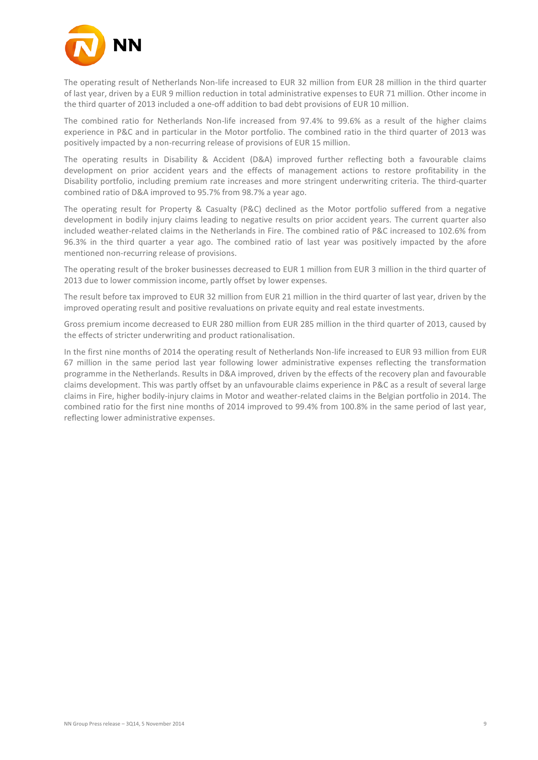

The operating result of Netherlands Non-life increased to EUR 32 million from EUR 28 million in the third quarter of last year, driven by a EUR 9 million reduction in total administrative expenses to EUR 71 million. Other income in the third quarter of 2013 included a one-off addition to bad debt provisions of EUR 10 million.

The combined ratio for Netherlands Non-life increased from 97.4% to 99.6% as a result of the higher claims experience in P&C and in particular in the Motor portfolio. The combined ratio in the third quarter of 2013 was positively impacted by a non-recurring release of provisions of EUR 15 million.

The operating results in Disability & Accident (D&A) improved further reflecting both a favourable claims development on prior accident years and the effects of management actions to restore profitability in the Disability portfolio, including premium rate increases and more stringent underwriting criteria. The third-quarter combined ratio of D&A improved to 95.7% from 98.7% a year ago.

The operating result for Property & Casualty (P&C) declined as the Motor portfolio suffered from a negative development in bodily injury claims leading to negative results on prior accident years. The current quarter also included weather-related claims in the Netherlands in Fire. The combined ratio of P&C increased to 102.6% from 96.3% in the third quarter a year ago. The combined ratio of last year was positively impacted by the afore mentioned non-recurring release of provisions.

The operating result of the broker businesses decreased to EUR 1 million from EUR 3 million in the third quarter of 2013 due to lower commission income, partly offset by lower expenses.

The result before tax improved to EUR 32 million from EUR 21 million in the third quarter of last year, driven by the improved operating result and positive revaluations on private equity and real estate investments.

Gross premium income decreased to EUR 280 million from EUR 285 million in the third quarter of 2013, caused by the effects of stricter underwriting and product rationalisation.

In the first nine months of 2014 the operating result of Netherlands Non-life increased to EUR 93 million from EUR 67 million in the same period last year following lower administrative expenses reflecting the transformation programme in the Netherlands. Results in D&A improved, driven by the effects of the recovery plan and favourable claims development. This was partly offset by an unfavourable claims experience in P&C as a result of several large claims in Fire, higher bodily-injury claims in Motor and weather-related claims in the Belgian portfolio in 2014. The combined ratio for the first nine months of 2014 improved to 99.4% from 100.8% in the same period of last year, reflecting lower administrative expenses.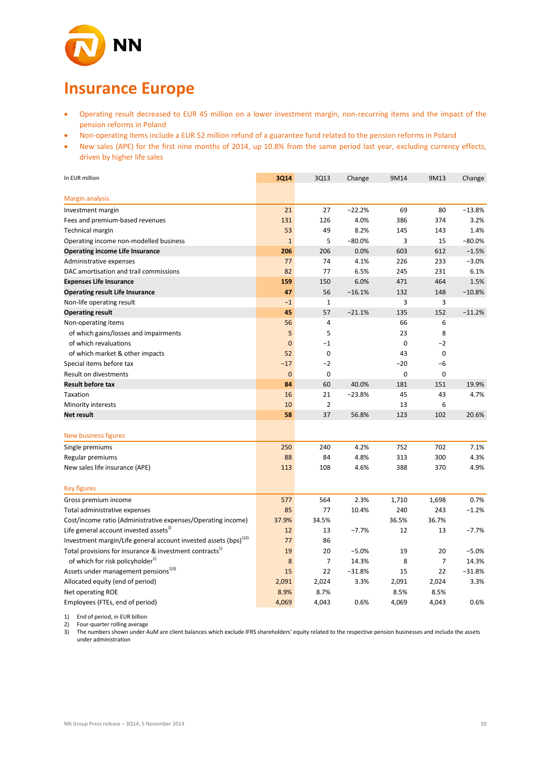

# **Insurance Europe**

- Operating result decreased to EUR 45 million on a lower investment margin, non-recurring items and the impact of the pension reforms in Poland
- Non-operating items include a EUR 52 million refund of a guarantee fund related to the pension reforms in Poland
- New sales (APE) for the first nine months of 2014, up 10.8% from the same period last year, excluding currency effects, driven by higher life sales

| In EUR million                                                               | 3Q14           | 3Q13           | Change   | 9M14        | 9M13        | Change   |
|------------------------------------------------------------------------------|----------------|----------------|----------|-------------|-------------|----------|
| <b>Margin analysis</b>                                                       |                |                |          |             |             |          |
| Investment margin                                                            | 21             | 27             | $-22.2%$ | 69          | 80          | $-13.8%$ |
| Fees and premium-based revenues                                              | 131            | 126            | 4.0%     | 386         | 374         | 3.2%     |
| <b>Technical margin</b>                                                      | 53             | 49             | 8.2%     | 145         | 143         | 1.4%     |
| Operating income non-modelled business                                       | $\mathbf{1}$   | 5              | $-80.0%$ | 3           | 15          | $-80.0%$ |
| <b>Operating income Life Insurance</b>                                       | 206            | 206            | 0.0%     | 603         | 612         | $-1.5%$  |
| Administrative expenses                                                      | 77             | 74             | 4.1%     | 226         | 233         | $-3.0%$  |
| DAC amortisation and trail commissions                                       | 82             | 77             | 6.5%     | 245         | 231         | 6.1%     |
| <b>Expenses Life Insurance</b>                                               | 159            | 150            | 6.0%     | 471         | 464         | 1.5%     |
| <b>Operating result Life Insurance</b>                                       | 47             | 56             | $-16.1%$ | 132         | 148         | $-10.8%$ |
| Non-life operating result                                                    | $-1$           | $\mathbf{1}$   |          | 3           | 3           |          |
| <b>Operating result</b>                                                      | 45             | 57             | $-21.1%$ | 135         | 152         | $-11.2%$ |
| Non-operating items                                                          | 56             | 4              |          | 66          | 6           |          |
| of which gains/losses and impairments                                        | 5              | 5              |          | 23          | 8           |          |
| of which revaluations                                                        | $\overline{0}$ | $-1$           |          | $\mathbf 0$ | $-2$        |          |
| of which market & other impacts                                              | 52             | $\mathbf 0$    |          | 43          | $\mathbf 0$ |          |
| Special items before tax                                                     | $-17$          | $-2$           |          | -20         | -6          |          |
| Result on divestments                                                        | $\mathbf 0$    | 0              |          | $\mathbf 0$ | 0           |          |
| <b>Result before tax</b>                                                     | 84             | 60             | 40.0%    | 181         | 151         | 19.9%    |
| Taxation                                                                     | 16             | 21             | $-23.8%$ | 45          | 43          | 4.7%     |
| Minority interests                                                           | 10             | $\overline{2}$ |          | 13          | 6           |          |
| <b>Net result</b>                                                            | 58             | 37             | 56.8%    | 123         | 102         | 20.6%    |
| <b>New business figures</b>                                                  |                |                |          |             |             |          |
| Single premiums                                                              | 250            | 240            | 4.2%     | 752         | 702         | 7.1%     |
| Regular premiums                                                             | 88             | 84             | 4.8%     | 313         | 300         | 4.3%     |
| New sales life insurance (APE)                                               | 113            | 108            | 4.6%     | 388         | 370         | 4.9%     |
| <b>Key figures</b>                                                           |                |                |          |             |             |          |
| Gross premium income                                                         | 577            | 564            | 2.3%     | 1,710       | 1,698       | 0.7%     |
| Total administrative expenses                                                | 85             | 77             | 10.4%    | 240         | 243         | $-1.2%$  |
| Cost/income ratio (Administrative expenses/Operating income)                 | 37.9%          | 34.5%          |          | 36.5%       | 36.7%       |          |
| Life general account invested assets <sup>1)</sup>                           | 12             | 13             | $-7.7%$  | 12          | 13          | $-7.7%$  |
| Investment margin/Life general account invested assets (bps) <sup>1)2)</sup> | 77             | 86             |          |             |             |          |
| Total provisions for insurance & investment contracts <sup>1</sup>           | 19             | 20             | $-5.0%$  | 19          | 20          | $-5.0%$  |
| of which for risk policyholder <sup>1)</sup>                                 | 8              | $\overline{7}$ | 14.3%    | 8           | 7           | 14.3%    |
| Assets under management pensions <sup>13)</sup>                              | 15             | 22             | $-31.8%$ | 15          | 22          | $-31.8%$ |
| Allocated equity (end of period)                                             | 2,091          | 2,024          | 3.3%     | 2,091       | 2,024       | 3.3%     |
| Net operating ROE                                                            | 8.9%           | 8.7%           |          | 8.5%        | 8.5%        |          |
| Employees (FTEs, end of period)                                              | 4,069          | 4,043          | 0.6%     | 4,069       | 4,043       | 0.6%     |

1) End of period, in EUR billion

2) Four-quarter rolling average

3) The numbers shown under AuM are client balances which exclude IFRS shareholders' equity related to the respective pension businesses and include the assets under administration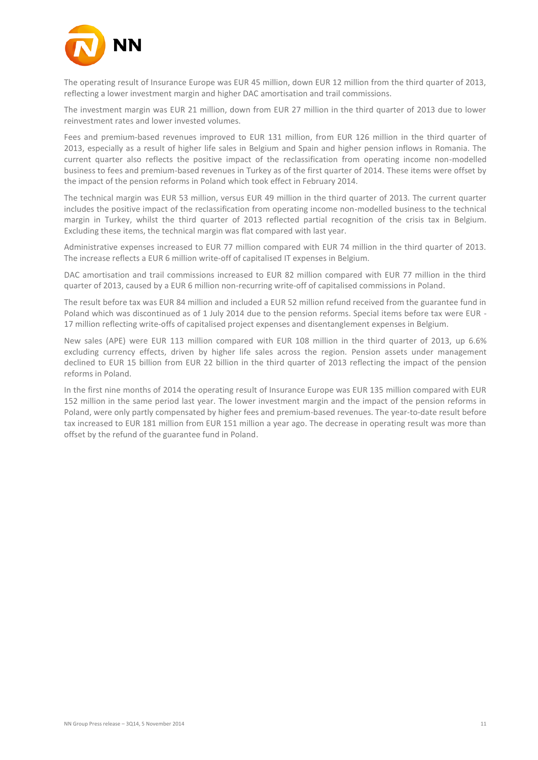

The operating result of Insurance Europe was EUR 45 million, down EUR 12 million from the third quarter of 2013, reflecting a lower investment margin and higher DAC amortisation and trail commissions.

The investment margin was EUR 21 million, down from EUR 27 million in the third quarter of 2013 due to lower reinvestment rates and lower invested volumes.

Fees and premium-based revenues improved to EUR 131 million, from EUR 126 million in the third quarter of 2013, especially as a result of higher life sales in Belgium and Spain and higher pension inflows in Romania. The current quarter also reflects the positive impact of the reclassification from operating income non-modelled business to fees and premium-based revenues in Turkey as of the first quarter of 2014. These items were offset by the impact of the pension reforms in Poland which took effect in February 2014.

The technical margin was EUR 53 million, versus EUR 49 million in the third quarter of 2013. The current quarter includes the positive impact of the reclassification from operating income non-modelled business to the technical margin in Turkey, whilst the third quarter of 2013 reflected partial recognition of the crisis tax in Belgium. Excluding these items, the technical margin was flat compared with last year.

Administrative expenses increased to EUR 77 million compared with EUR 74 million in the third quarter of 2013. The increase reflects a EUR 6 million write-off of capitalised IT expenses in Belgium.

DAC amortisation and trail commissions increased to EUR 82 million compared with EUR 77 million in the third quarter of 2013, caused by a EUR 6 million non-recurring write-off of capitalised commissions in Poland.

The result before tax was EUR 84 million and included a EUR 52 million refund received from the guarantee fund in Poland which was discontinued as of 1 July 2014 due to the pension reforms. Special items before tax were EUR - 17 million reflecting write-offs of capitalised project expenses and disentanglement expenses in Belgium.

New sales (APE) were EUR 113 million compared with EUR 108 million in the third quarter of 2013, up 6.6% excluding currency effects, driven by higher life sales across the region. Pension assets under management declined to EUR 15 billion from EUR 22 billion in the third quarter of 2013 reflecting the impact of the pension reforms in Poland.

In the first nine months of 2014 the operating result of Insurance Europe was EUR 135 million compared with EUR 152 million in the same period last year. The lower investment margin and the impact of the pension reforms in Poland, were only partly compensated by higher fees and premium-based revenues. The year-to-date result before tax increased to EUR 181 million from EUR 151 million a year ago. The decrease in operating result was more than offset by the refund of the guarantee fund in Poland.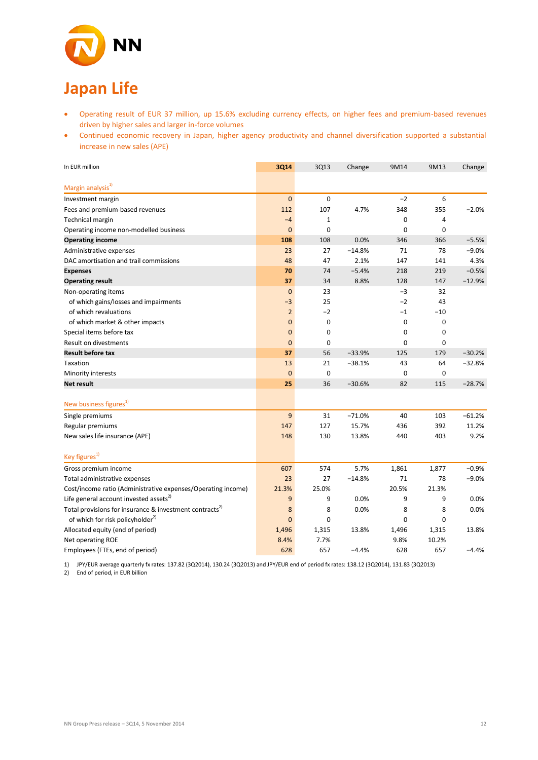

# **Japan Life**

- Operating result of EUR 37 million, up 15.6% excluding currency effects, on higher fees and premium-based revenues driven by higher sales and larger in-force volumes
- Continued economic recovery in Japan, higher agency productivity and channel diversification supported a substantial increase in new sales (APE)

| In EUR million                                                      | <b>3Q14</b>      | 3Q13        | Change   | 9M14  | 9M13        | Change   |
|---------------------------------------------------------------------|------------------|-------------|----------|-------|-------------|----------|
| Margin analysis <sup>1)</sup>                                       |                  |             |          |       |             |          |
| Investment margin                                                   | $\mathbf{0}$     | $\mathbf 0$ |          | $-2$  | 6           |          |
| Fees and premium-based revenues                                     | 112              | 107         | 4.7%     | 348   | 355         | $-2.0%$  |
| Technical margin                                                    | $-4$             | 1           |          | 0     | 4           |          |
| Operating income non-modelled business                              | $\mathbf{0}$     | 0           |          | 0     | 0           |          |
| <b>Operating income</b>                                             | 108              | 108         | 0.0%     | 346   | 366         | $-5.5%$  |
| Administrative expenses                                             | 23               | 27          | $-14.8%$ | 71    | 78          | $-9.0%$  |
| DAC amortisation and trail commissions                              | 48               | 47          | 2.1%     | 147   | 141         | 4.3%     |
| <b>Expenses</b>                                                     | 70               | 74          | $-5.4%$  | 218   | 219         | $-0.5%$  |
| <b>Operating result</b>                                             | 37               | 34          | 8.8%     | 128   | 147         | $-12.9%$ |
| Non-operating items                                                 | $\overline{0}$   | 23          |          | $-3$  | 32          |          |
| of which gains/losses and impairments                               | $-3$             | 25          |          | $-2$  | 43          |          |
| of which revaluations                                               | $\overline{2}$   | $-2$        |          | $-1$  | $-10$       |          |
| of which market & other impacts                                     | $\mathbf 0$      | 0           |          | 0     | $\mathbf 0$ |          |
| Special items before tax                                            | $\mathbf{0}$     | 0           |          | 0     | 0           |          |
| Result on divestments                                               | $\mathbf{0}$     | 0           |          | 0     | 0           |          |
| <b>Result before tax</b>                                            | 37               | 56          | $-33.9%$ | 125   | 179         | $-30.2%$ |
| Taxation                                                            | 13               | 21          | $-38.1%$ | 43    | 64          | $-32.8%$ |
| Minority interests                                                  | $\mathbf{0}$     | $\mathbf 0$ |          | 0     | $\mathbf 0$ |          |
| Net result                                                          | 25               | 36          | $-30.6%$ | 82    | 115         | $-28.7%$ |
| New business figures <sup>1)</sup>                                  |                  |             |          |       |             |          |
| Single premiums                                                     | $\boldsymbol{9}$ | 31          | $-71.0%$ | 40    | 103         | $-61.2%$ |
| Regular premiums                                                    | 147              | 127         | 15.7%    | 436   | 392         | 11.2%    |
| New sales life insurance (APE)                                      | 148              | 130         | 13.8%    | 440   | 403         | 9.2%     |
|                                                                     |                  |             |          |       |             |          |
| Key figures <sup>1)</sup>                                           |                  |             |          |       |             |          |
| Gross premium income                                                | 607              | 574         | 5.7%     | 1,861 | 1,877       | $-0.9%$  |
| Total administrative expenses                                       | 23               | 27          | $-14.8%$ | 71    | 78          | $-9.0%$  |
| Cost/income ratio (Administrative expenses/Operating income)        | 21.3%            | 25.0%       |          | 20.5% | 21.3%       |          |
| Life general account invested assets <sup>2)</sup>                  | 9                | 9           | 0.0%     | 9     | 9           | 0.0%     |
| Total provisions for insurance & investment contracts <sup>2)</sup> | 8                | 8           | 0.0%     | 8     | 8           | 0.0%     |
| of which for risk policyholder <sup>2)</sup>                        | $\overline{0}$   | 0           |          | 0     | 0           |          |
| Allocated equity (end of period)                                    | 1,496            | 1,315       | 13.8%    | 1,496 | 1,315       | 13.8%    |
| Net operating ROE                                                   | 8.4%             | 7.7%        |          | 9.8%  | 10.2%       |          |
| Employees (FTEs, end of period)                                     | 628              | 657         | $-4.4%$  | 628   | 657         | $-4.4%$  |

1) JPY/EUR average quarterly fx rates: 137.82 (3Q2014), 130.24 (3Q2013) and JPY/EUR end of period fx rates: 138.12 (3Q2014), 131.83 (3Q2013)

2) End of period, in EUR billion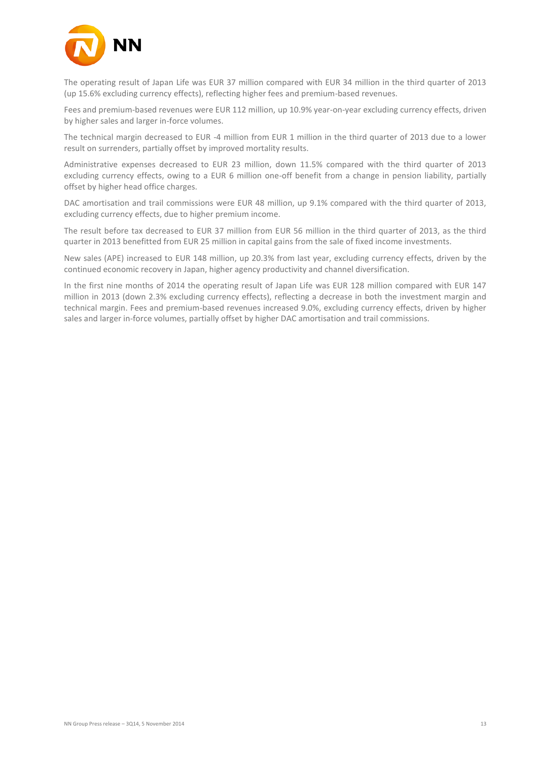

The operating result of Japan Life was EUR 37 million compared with EUR 34 million in the third quarter of 2013 (up 15.6% excluding currency effects), reflecting higher fees and premium-based revenues.

Fees and premium-based revenues were EUR 112 million, up 10.9% year-on-year excluding currency effects, driven by higher sales and larger in-force volumes.

The technical margin decreased to EUR -4 million from EUR 1 million in the third quarter of 2013 due to a lower result on surrenders, partially offset by improved mortality results.

Administrative expenses decreased to EUR 23 million, down 11.5% compared with the third quarter of 2013 excluding currency effects, owing to a EUR 6 million one-off benefit from a change in pension liability, partially offset by higher head office charges.

DAC amortisation and trail commissions were EUR 48 million, up 9.1% compared with the third quarter of 2013, excluding currency effects, due to higher premium income.

The result before tax decreased to EUR 37 million from EUR 56 million in the third quarter of 2013, as the third quarter in 2013 benefitted from EUR 25 million in capital gains from the sale of fixed income investments.

New sales (APE) increased to EUR 148 million, up 20.3% from last year, excluding currency effects, driven by the continued economic recovery in Japan, higher agency productivity and channel diversification.

In the first nine months of 2014 the operating result of Japan Life was EUR 128 million compared with EUR 147 million in 2013 (down 2.3% excluding currency effects), reflecting a decrease in both the investment margin and technical margin. Fees and premium-based revenues increased 9.0%, excluding currency effects, driven by higher sales and larger in-force volumes, partially offset by higher DAC amortisation and trail commissions.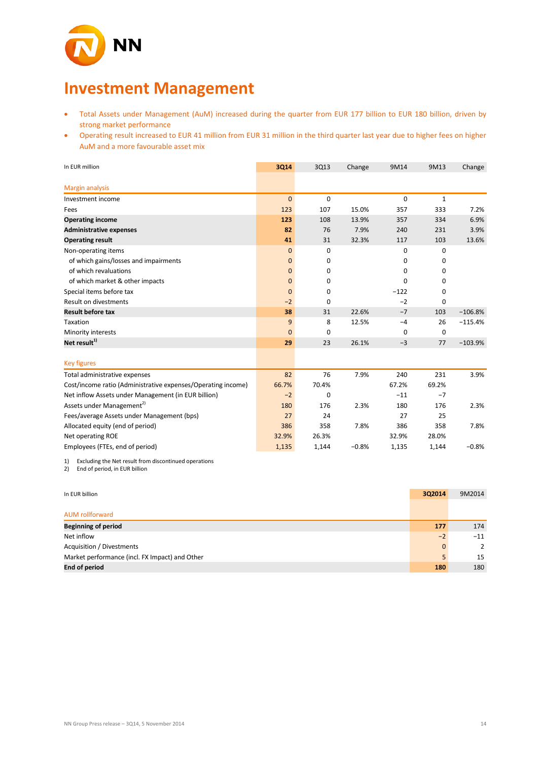

# **Investment Management**

- Total Assets under Management (AuM) increased during the quarter from EUR 177 billion to EUR 180 billion, driven by strong market performance
- Operating result increased to EUR 41 million from EUR 31 million in the third quarter last year due to higher fees on higher AuM and a more favourable asset mix

| In EUR million                                               | 3Q14         | 3Q13        | Change  | 9M14        | 9M13         | Change    |
|--------------------------------------------------------------|--------------|-------------|---------|-------------|--------------|-----------|
| <b>Margin analysis</b>                                       |              |             |         |             |              |           |
| Investment income                                            | $\mathbf 0$  | $\mathbf 0$ |         | $\mathbf 0$ | $\mathbf{1}$ |           |
| Fees                                                         | 123          | 107         | 15.0%   | 357         | 333          | 7.2%      |
| <b>Operating income</b>                                      | 123          | 108         | 13.9%   | 357         | 334          | 6.9%      |
| <b>Administrative expenses</b>                               | 82           | 76          | 7.9%    | 240         | 231          | 3.9%      |
| <b>Operating result</b>                                      | 41           | 31          | 32.3%   | 117         | 103          | 13.6%     |
| Non-operating items                                          | $\mathbf{0}$ | 0           |         | 0           | 0            |           |
| of which gains/losses and impairments                        | 0            | 0           |         | 0           | 0            |           |
| of which revaluations                                        | $\mathbf 0$  | 0           |         | 0           | 0            |           |
| of which market & other impacts                              | 0            | 0           |         | $\Omega$    | 0            |           |
| Special items before tax                                     | $\mathbf 0$  | 0           |         | $-122$      | 0            |           |
| <b>Result on divestments</b>                                 | $-2$         | 0           |         | $-2$        | 0            |           |
| <b>Result before tax</b>                                     | 38           | 31          | 22.6%   | $-7$        | 103          | $-106.8%$ |
| Taxation                                                     | 9            | 8           | 12.5%   | $-4$        | 26           | $-115.4%$ |
| Minority interests                                           | $\mathbf{0}$ | 0           |         | 0           | 0            |           |
| Net result $^{1)}$                                           | 29           | 23          | 26.1%   | $-3$        | 77           | $-103.9%$ |
|                                                              |              |             |         |             |              |           |
| <b>Key figures</b>                                           |              |             |         |             |              |           |
| Total administrative expenses                                | 82           | 76          | 7.9%    | 240         | 231          | 3.9%      |
| Cost/income ratio (Administrative expenses/Operating income) | 66.7%        | 70.4%       |         | 67.2%       | 69.2%        |           |
| Net inflow Assets under Management (in EUR billion)          | $-2$         | 0           |         | $-11$       | $-7$         |           |
| Assets under Management <sup>2)</sup>                        | 180          | 176         | 2.3%    | 180         | 176          | 2.3%      |
| Fees/average Assets under Management (bps)                   | 27           | 24          |         | 27          | 25           |           |
| Allocated equity (end of period)                             | 386          | 358         | 7.8%    | 386         | 358          | 7.8%      |
| Net operating ROE                                            | 32.9%        | 26.3%       |         | 32.9%       | 28.0%        |           |
| Employees (FTEs, end of period)                              | 1,135        | 1,144       | $-0.8%$ | 1,135       | 1,144        | $-0.8%$   |

1) Excluding the Net result from discontinued operations

2) End of period, in EUR billion

| In EUR billion                                 | 3Q2014       | 9M2014 |
|------------------------------------------------|--------------|--------|
| <b>AUM</b> rollforward                         |              |        |
| <b>Beginning of period</b>                     | 177          | 174    |
| Net inflow                                     | $-2$         | $-11$  |
| Acquisition / Divestments                      | $\mathbf{0}$ | 2      |
| Market performance (incl. FX Impact) and Other |              | 15     |
| <b>End of period</b>                           | 180          | 180    |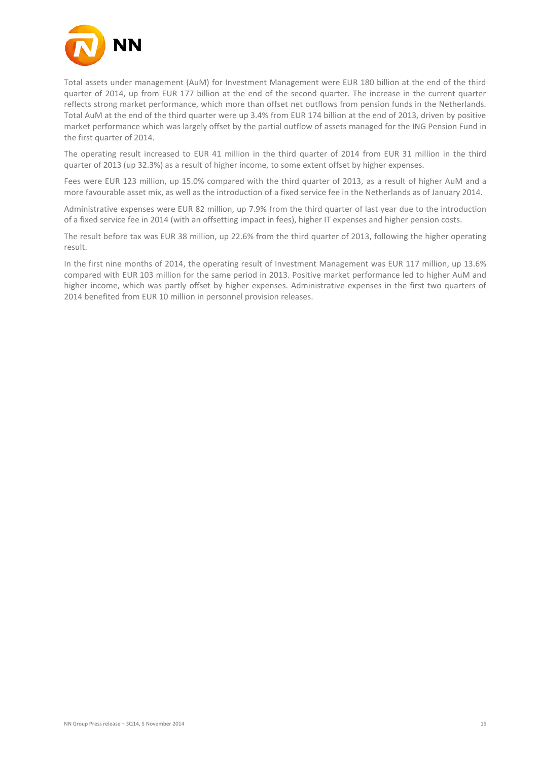

Total assets under management (AuM) for Investment Management were EUR 180 billion at the end of the third quarter of 2014, up from EUR 177 billion at the end of the second quarter. The increase in the current quarter reflects strong market performance, which more than offset net outflows from pension funds in the Netherlands. Total AuM at the end of the third quarter were up 3.4% from EUR 174 billion at the end of 2013, driven by positive market performance which was largely offset by the partial outflow of assets managed for the ING Pension Fund in the first quarter of 2014.

The operating result increased to EUR 41 million in the third quarter of 2014 from EUR 31 million in the third quarter of 2013 (up 32.3%) as a result of higher income, to some extent offset by higher expenses.

Fees were EUR 123 million, up 15.0% compared with the third quarter of 2013, as a result of higher AuM and a more favourable asset mix, as well as the introduction of a fixed service fee in the Netherlands as of January 2014.

Administrative expenses were EUR 82 million, up 7.9% from the third quarter of last year due to the introduction of a fixed service fee in 2014 (with an offsetting impact in fees), higher IT expenses and higher pension costs.

The result before tax was EUR 38 million, up 22.6% from the third quarter of 2013, following the higher operating result.

In the first nine months of 2014, the operating result of Investment Management was EUR 117 million, up 13.6% compared with EUR 103 million for the same period in 2013. Positive market performance led to higher AuM and higher income, which was partly offset by higher expenses. Administrative expenses in the first two quarters of 2014 benefited from EUR 10 million in personnel provision releases.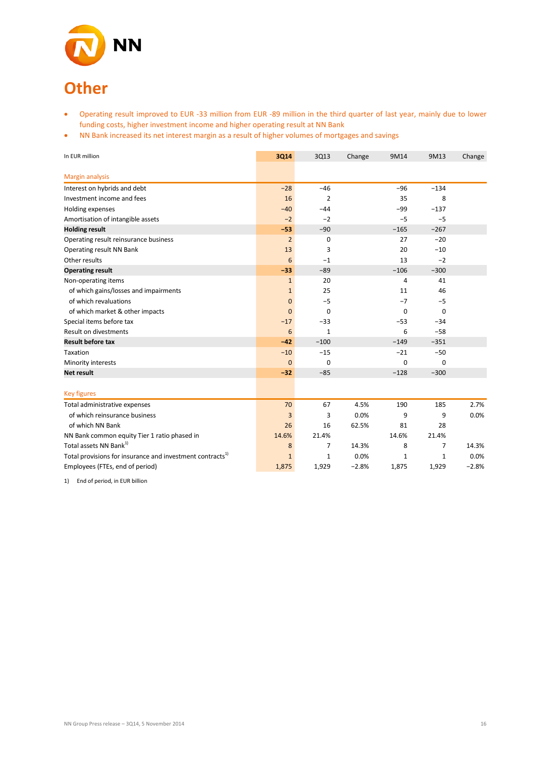

- Operating result improved to EUR -33 million from EUR -89 million in the third quarter of last year, mainly due to lower funding costs, higher investment income and higher operating result at NN Bank
- NN Bank increased its net interest margin as a result of higher volumes of mortgages and savings

| In EUR million                                                       | 3Q14           | 3Q13         | Change  | 9M14<br>9M13   |              | Change  |
|----------------------------------------------------------------------|----------------|--------------|---------|----------------|--------------|---------|
|                                                                      |                |              |         |                |              |         |
| <b>Margin analysis</b>                                               |                |              |         |                |              |         |
| Interest on hybrids and debt                                         | $-28$          | $-46$        |         | $-96$          | $-134$       |         |
| Investment income and fees                                           | 16             | 2            |         | 35             | 8            |         |
| Holding expenses                                                     | $-40$          | $-44$        |         | $-99$          | $-137$       |         |
| Amortisation of intangible assets                                    | $-2$           | $-2$         |         | $-5$           | $-5$         |         |
| <b>Holding result</b>                                                | $-53$          | $-90$        |         | $-165$         | $-267$       |         |
| Operating result reinsurance business                                | $\overline{2}$ | 0            |         | 27             | $-20$        |         |
| Operating result NN Bank                                             | 13             | 3            |         | 20             | $-10$        |         |
| Other results                                                        | 6              | $-1$         |         | 13             | $-2$         |         |
| <b>Operating result</b>                                              | $-33$          | $-89$        |         | $-106$         | $-300$       |         |
| Non-operating items                                                  | $\mathbf{1}$   | 20           |         | $\overline{4}$ | 41           |         |
| of which gains/losses and impairments                                | $\mathbf{1}$   | 25           |         | 11             | 46           |         |
| of which revaluations                                                | $\mathbf{0}$   | $-5$         |         | $-7$           | $-5$         |         |
| of which market & other impacts                                      | $\Omega$       | 0            |         | $\mathbf 0$    | $\mathbf 0$  |         |
| Special items before tax                                             | $-17$          | $-33$        |         | $-53$          | $-34$        |         |
| <b>Result on divestments</b>                                         | 6              | $\mathbf{1}$ |         | 6              | $-58$        |         |
| <b>Result before tax</b>                                             | $-42$          | $-100$       |         | $-149$         | $-351$       |         |
| Taxation                                                             | $-10$          | $-15$        |         | $-21$          | $-50$        |         |
| Minority interests                                                   | $\Omega$       | $\Omega$     |         | $\mathbf 0$    | $\Omega$     |         |
| <b>Net result</b>                                                    | $-32$          | $-85$        |         | $-128$         | $-300$       |         |
|                                                                      |                |              |         |                |              |         |
| <b>Key figures</b>                                                   |                |              |         |                |              |         |
| Total administrative expenses                                        | 70             | 67           | 4.5%    | 190            | 185          | 2.7%    |
| of which reinsurance business                                        | 3              | 3            | 0.0%    | 9              | 9            | 0.0%    |
| of which NN Bank                                                     | 26             | 16           | 62.5%   | 81             | 28           |         |
| NN Bank common equity Tier 1 ratio phased in                         | 14.6%          | 21.4%        |         | 14.6%          | 21.4%        |         |
| Total assets NN Bank <sup>1)</sup>                                   | 8              | 7            | 14.3%   | 8              | 7            | 14.3%   |
| Total provisions for insurance and investment contracts <sup>1</sup> | $\mathbf{1}$   | $\mathbf{1}$ | 0.0%    | $\mathbf{1}$   | $\mathbf{1}$ | 0.0%    |
| Employees (FTEs, end of period)                                      | 1,875          | 1,929        | $-2.8%$ | 1,875          | 1,929        | $-2.8%$ |

1) End of period, in EUR billion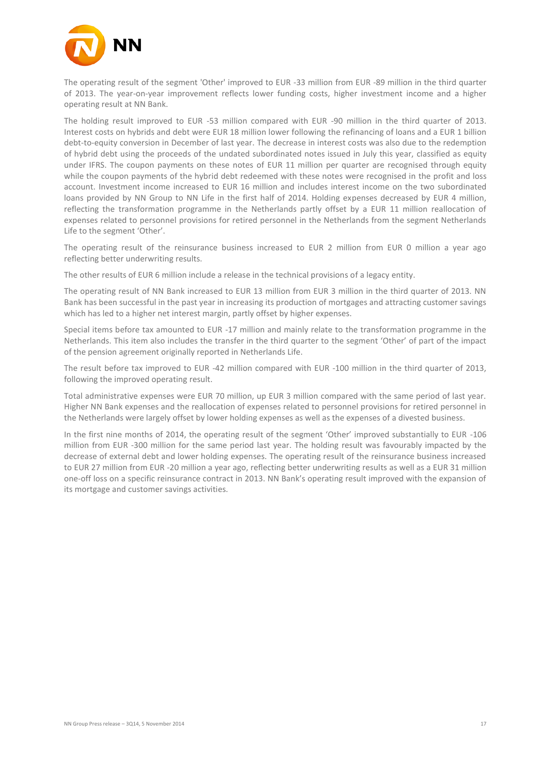

The operating result of the segment 'Other' improved to EUR -33 million from EUR -89 million in the third quarter of 2013. The year-on-year improvement reflects lower funding costs, higher investment income and a higher operating result at NN Bank.

The holding result improved to EUR -53 million compared with EUR -90 million in the third quarter of 2013. Interest costs on hybrids and debt were EUR 18 million lower following the refinancing of loans and a EUR 1 billion debt-to-equity conversion in December of last year. The decrease in interest costs was also due to the redemption of hybrid debt using the proceeds of the undated subordinated notes issued in July this year, classified as equity under IFRS. The coupon payments on these notes of EUR 11 million per quarter are recognised through equity while the coupon payments of the hybrid debt redeemed with these notes were recognised in the profit and loss account. Investment income increased to EUR 16 million and includes interest income on the two subordinated loans provided by NN Group to NN Life in the first half of 2014. Holding expenses decreased by EUR 4 million, reflecting the transformation programme in the Netherlands partly offset by a EUR 11 million reallocation of expenses related to personnel provisions for retired personnel in the Netherlands from the segment Netherlands Life to the segment 'Other'.

The operating result of the reinsurance business increased to EUR 2 million from EUR 0 million a year ago reflecting better underwriting results.

The other results of EUR 6 million include a release in the technical provisions of a legacy entity.

The operating result of NN Bank increased to EUR 13 million from EUR 3 million in the third quarter of 2013. NN Bank has been successful in the past year in increasing its production of mortgages and attracting customer savings which has led to a higher net interest margin, partly offset by higher expenses.

Special items before tax amounted to EUR -17 million and mainly relate to the transformation programme in the Netherlands. This item also includes the transfer in the third quarter to the segment 'Other' of part of the impact of the pension agreement originally reported in Netherlands Life.

The result before tax improved to EUR -42 million compared with EUR -100 million in the third quarter of 2013, following the improved operating result.

Total administrative expenses were EUR 70 million, up EUR 3 million compared with the same period of last year. Higher NN Bank expenses and the reallocation of expenses related to personnel provisions for retired personnel in the Netherlands were largely offset by lower holding expenses as well as the expenses of a divested business.

In the first nine months of 2014, the operating result of the segment 'Other' improved substantially to EUR -106 million from EUR -300 million for the same period last year. The holding result was favourably impacted by the decrease of external debt and lower holding expenses. The operating result of the reinsurance business increased to EUR 27 million from EUR -20 million a year ago, reflecting better underwriting results as well as a EUR 31 million one-off loss on a specific reinsurance contract in 2013. NN Bank's operating result improved with the expansion of its mortgage and customer savings activities.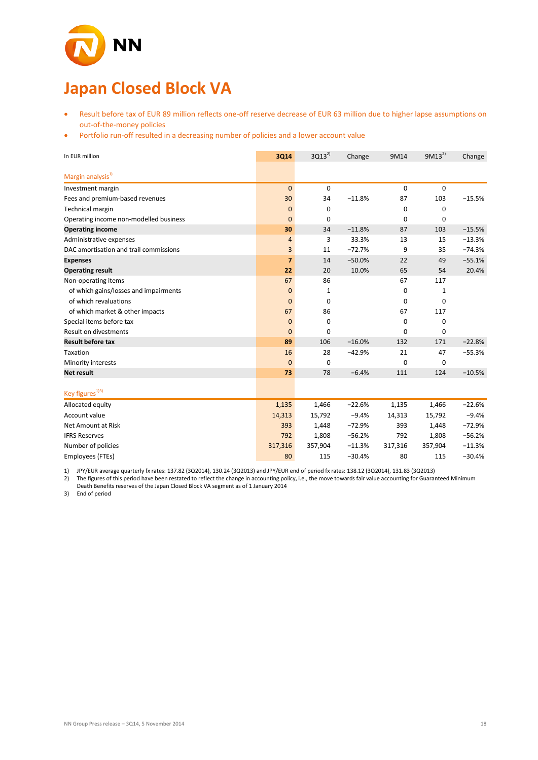

# **Japan Closed Block VA**

- Result before tax of EUR 89 million reflects one-off reserve decrease of EUR 63 million due to higher lapse assumptions on out-of-the-money policies
- Portfolio run-off resulted in a decreasing number of policies and a lower account value

| In EUR million                         | 3Q14           | $3Q13^{2}$  | Change   | 9M14    | $9M13^{2}$  | Change   |
|----------------------------------------|----------------|-------------|----------|---------|-------------|----------|
| Margin analysis <sup>1)</sup>          |                |             |          |         |             |          |
|                                        |                |             |          |         |             |          |
| Investment margin                      | $\mathbf{0}$   | $\mathbf 0$ |          | 0       | $\mathbf 0$ |          |
| Fees and premium-based revenues        | 30             | 34          | $-11.8%$ | 87      | 103         | $-15.5%$ |
| Technical margin                       | $\mathbf{0}$   | 0           |          | 0       | $\mathbf 0$ |          |
| Operating income non-modelled business | $\mathbf{0}$   | 0           |          | 0       | 0           |          |
| <b>Operating income</b>                | 30             | 34          | $-11.8%$ | 87      | 103         | $-15.5%$ |
| Administrative expenses                | 4              | 3           | 33.3%    | 13      | 15          | $-13.3%$ |
| DAC amortisation and trail commissions | 3              | 11          | $-72.7%$ | 9       | 35          | $-74.3%$ |
| <b>Expenses</b>                        | $\overline{7}$ | 14          | $-50.0%$ | 22      | 49          | $-55.1%$ |
| <b>Operating result</b>                | 22             | 20          | 10.0%    | 65      | 54          | 20.4%    |
| Non-operating items                    | 67             | 86          |          | 67      | 117         |          |
| of which gains/losses and impairments  | $\mathbf 0$    | 1           |          | 0       | 1           |          |
| of which revaluations                  | $\mathbf{0}$   | 0           |          | 0       | $\mathbf 0$ |          |
| of which market & other impacts        | 67             | 86          |          | 67      | 117         |          |
| Special items before tax               | $\mathbf{0}$   | $\mathbf 0$ |          | 0       | 0           |          |
| Result on divestments                  | $\overline{0}$ | 0           |          | 0       | $\mathbf 0$ |          |
| <b>Result before tax</b>               | 89             | 106         | $-16.0%$ | 132     | 171         | $-22.8%$ |
| Taxation                               | 16             | 28          | $-42.9%$ | 21      | 47          | $-55.3%$ |
| Minority interests                     | $\mathbf{0}$   | $\Omega$    |          | 0       | $\mathbf 0$ |          |
| <b>Net result</b>                      | 73             | 78          | $-6.4%$  | 111     | 124         | $-10.5%$ |
| Key figures <sup>1)3)</sup>            |                |             |          |         |             |          |
| Allocated equity                       | 1,135          | 1,466       | $-22.6%$ | 1,135   | 1,466       | $-22.6%$ |
| Account value                          | 14,313         | 15,792      | $-9.4%$  | 14,313  | 15,792      | $-9.4%$  |
| Net Amount at Risk                     | 393            | 1,448       | $-72.9%$ | 393     | 1,448       | $-72.9%$ |
| <b>IFRS Reserves</b>                   | 792            | 1,808       | $-56.2%$ | 792     | 1,808       | $-56.2%$ |
| Number of policies                     | 317,316        | 357,904     | $-11.3%$ | 317,316 | 357,904     | $-11.3%$ |
| Employees (FTEs)                       | 80             | 115         | $-30.4%$ | 80      | 115         | $-30.4%$ |

1) JPY/EUR average quarterly fx rates: 137.82 (3Q2014), 130.24 (3Q2013) and JPY/EUR end of period fx rates: 138.12 (3Q2014), 131.83 (3Q2013)

2) The figures of this period have been restated to reflect the change in accounting policy, i.e., the move towards fair value accounting for Guaranteed Minimum Death Benefits reserves of the Japan Closed Block VA segment as of 1 January 2014

3) End of period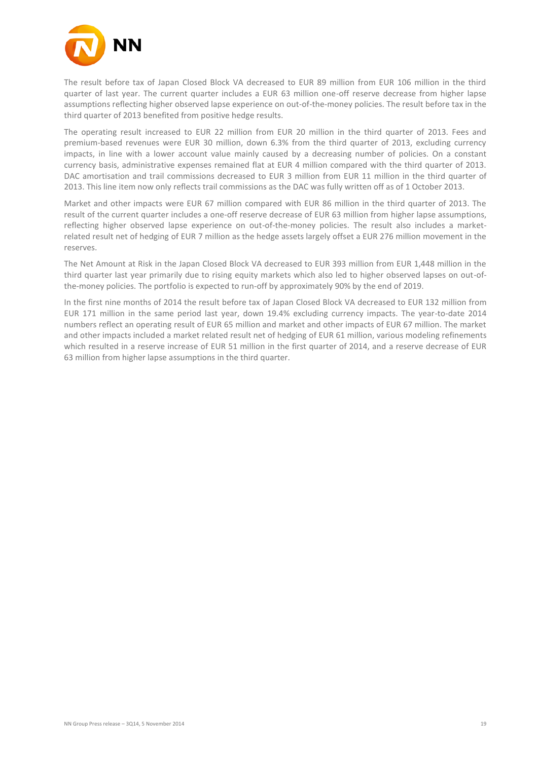

The result before tax of Japan Closed Block VA decreased to EUR 89 million from EUR 106 million in the third quarter of last year. The current quarter includes a EUR 63 million one-off reserve decrease from higher lapse assumptions reflecting higher observed lapse experience on out-of-the-money policies. The result before tax in the third quarter of 2013 benefited from positive hedge results.

The operating result increased to EUR 22 million from EUR 20 million in the third quarter of 2013. Fees and premium-based revenues were EUR 30 million, down 6.3% from the third quarter of 2013, excluding currency impacts, in line with a lower account value mainly caused by a decreasing number of policies. On a constant currency basis, administrative expenses remained flat at EUR 4 million compared with the third quarter of 2013. DAC amortisation and trail commissions decreased to EUR 3 million from EUR 11 million in the third quarter of 2013. This line item now only reflects trail commissions as the DAC was fully written off as of 1 October 2013.

Market and other impacts were EUR 67 million compared with EUR 86 million in the third quarter of 2013. The result of the current quarter includes a one-off reserve decrease of EUR 63 million from higher lapse assumptions, reflecting higher observed lapse experience on out-of-the-money policies. The result also includes a marketrelated result net of hedging of EUR 7 million as the hedge assets largely offset a EUR 276 million movement in the reserves.

The Net Amount at Risk in the Japan Closed Block VA decreased to EUR 393 million from EUR 1,448 million in the third quarter last year primarily due to rising equity markets which also led to higher observed lapses on out-ofthe-money policies. The portfolio is expected to run-off by approximately 90% by the end of 2019.

In the first nine months of 2014 the result before tax of Japan Closed Block VA decreased to EUR 132 million from EUR 171 million in the same period last year, down 19.4% excluding currency impacts. The year-to-date 2014 numbers reflect an operating result of EUR 65 million and market and other impacts of EUR 67 million. The market and other impacts included a market related result net of hedging of EUR 61 million, various modeling refinements which resulted in a reserve increase of EUR 51 million in the first quarter of 2014, and a reserve decrease of EUR 63 million from higher lapse assumptions in the third quarter.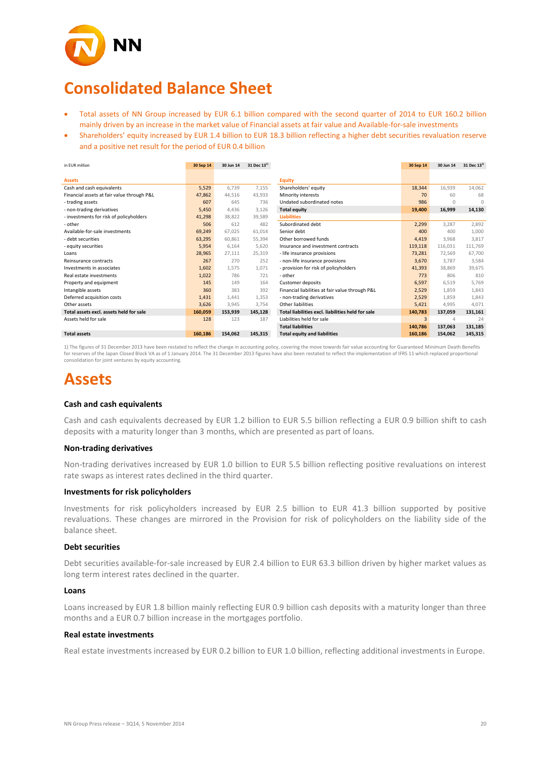

# **Consolidated Balance Sheet**

- Total assets of NN Group increased by EUR 6.1 billion compared with the second quarter of 2014 to EUR 160.2 billion mainly driven by an increase in the market value of Financial assets at fair value and Available-for-sale investments
- Shareholders' equity increased by EUR 1.4 billion to EUR 18.3 billion reflecting a higher debt securities revaluation reserve and a positive net result for the period of EUR 0.4 billion

| in EUR million                             | 30 Sep 14 | 30 Jun 14 | 31 Dec $13^{1}$ |                                                   | 30 Sep 14 | 30 Jun 14 | 31 Dec $13^{11}$ |
|--------------------------------------------|-----------|-----------|-----------------|---------------------------------------------------|-----------|-----------|------------------|
|                                            |           |           |                 |                                                   |           |           |                  |
| <b>Assets</b>                              |           |           |                 | <b>Equity</b>                                     |           |           |                  |
| Cash and cash equivalents                  | 5,529     | 6.739     | 7,155           | Shareholders' equity                              | 18,344    | 16,939    | 14,062           |
| Financial assets at fair value through P&L | 47,862    | 44.516    | 43.933          | Minority interests                                | 70        | 60        | 68               |
| - trading assets                           | 607       | 645       | 736             | Undated subordinated notes                        | 986       | 0         | <sup>n</sup>     |
| - non-trading derivatives                  | 5,450     | 4.436     | 3.126           | <b>Total equity</b>                               | 19,400    | 16,999    | 14,130           |
| - investments for risk of policyholders    | 41,298    | 38.822    | 39,589          | <b>Liabilities</b>                                |           |           |                  |
| - other                                    | 506       | 612       | 482             | Subordinated debt                                 | 2,299     | 3,287     | 2,892            |
| Available-for-sale investments             | 69,249    | 67,025    | 61,014          | Senior debt                                       | 400       | 400       | 1,000            |
| - debt securities                          | 63,295    | 60.861    | 55.394          | Other borrowed funds                              | 4,419     | 3.968     | 3.817            |
| - equity securities                        | 5,954     | 6,164     | 5,620           | Insurance and investment contracts                | 119,118   | 116.031   | 111,769          |
| Loans                                      | 28,965    | 27,111    | 25,319          | - life insurance provisions                       | 73,281    | 72,569    | 67,700           |
| Reinsurance contracts                      | 267       | 270       | 252             | - non-life insurance provisions                   | 3,670     | 3.787     | 3,584            |
| Investments in associates                  | 1,602     | 1,575     | 1.071           | - provision for risk of policyholders             | 41,393    | 38,869    | 39,675           |
| Real estate investments                    | 1,022     | 786       | 721             | - other                                           | 773       | 806       | 810              |
| Property and equipment                     | 145       | 149       | 164             | <b>Customer deposits</b>                          | 6,597     | 6,519     | 5,769            |
| Intangible assets                          | 360       | 383       | 392             | Financial liabilities at fair value through P&L   | 2,529     | 1.859     | 1.843            |
| Deferred acquisition costs                 | 1,431     | 1.441     | 1.353           | - non-trading derivatives                         | 2,529     | 1,859     | 1,843            |
| Other assets                               | 3,626     | 3,945     | 3,754           | Other liabilities                                 | 5,421     | 4,995     | 4,071            |
| Total assets excl. assets held for sale    | 160,059   | 153,939   | 145,128         | Total liabilities excl. liabilities held for sale | 140,783   | 137,059   | 131,161          |
| Assets held for sale                       | 128       | 123       | 187             | Liabilities held for sale                         | 3         |           | 24               |
|                                            |           |           |                 | <b>Total liabilities</b>                          | 140,786   | 137,063   | 131,185          |
| <b>Total assets</b>                        | 160,186   | 154,062   | 145,315         | <b>Total equity and liabilities</b>               | 160,186   | 154,062   | 145,315          |

1) The figures of 31 December 2013 have been restated to reflect the change in accounting policy, covering the move towards fair value accounting for Guaranteed Minimum Death Benefits for reserves of the Japan Closed Block VA as of 1 January 2014. The 31 December 2013 figures have also been restated to reflect the implementation of IFRS 11 which replaced proportional consolidation for joint ventures by equity accounting.

# **Assets**

#### **Cash and cash equivalents**

Cash and cash equivalents decreased by EUR 1.2 billion to EUR 5.5 billion reflecting a EUR 0.9 billion shift to cash deposits with a maturity longer than 3 months, which are presented as part of loans.

#### **Non-trading derivatives**

Non-trading derivatives increased by EUR 1.0 billion to EUR 5.5 billion reflecting positive revaluations on interest rate swaps as interest rates declined in the third quarter.

#### **Investments for risk policyholders**

Investments for risk policyholders increased by EUR 2.5 billion to EUR 41.3 billion supported by positive revaluations. These changes are mirrored in the Provision for risk of policyholders on the liability side of the balance sheet.

#### **Debt securities**

Debt securities available-for-sale increased by EUR 2.4 billion to EUR 63.3 billion driven by higher market values as long term interest rates declined in the quarter.

#### **Loans**

Loans increased by EUR 1.8 billion mainly reflecting EUR 0.9 billion cash deposits with a maturity longer than three months and a EUR 0.7 billion increase in the mortgages portfolio.

#### **Real estate investments**

Real estate investments increased by EUR 0.2 billion to EUR 1.0 billion, reflecting additional investments in Europe.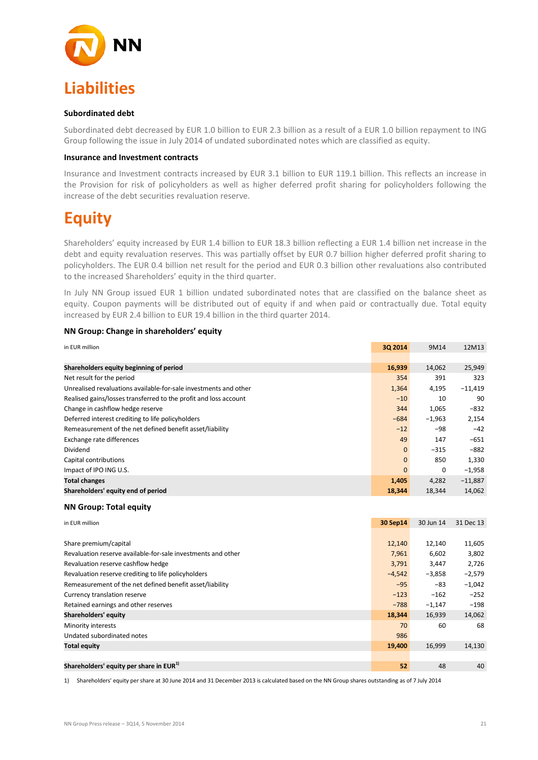

#### **Subordinated debt**

Subordinated debt decreased by EUR 1.0 billion to EUR 2.3 billion as a result of a EUR 1.0 billion repayment to ING Group following the issue in July 2014 of undated subordinated notes which are classified as equity.

#### **Insurance and Investment contracts**

Insurance and Investment contracts increased by EUR 3.1 billion to EUR 119.1 billion. This reflects an increase in the Provision for risk of policyholders as well as higher deferred profit sharing for policyholders following the increase of the debt securities revaluation reserve.

# **Equity**

Shareholders' equity increased by EUR 1.4 billion to EUR 18.3 billion reflecting a EUR 1.4 billion net increase in the debt and equity revaluation reserves. This was partially offset by EUR 0.7 billion higher deferred profit sharing to policyholders. The EUR 0.4 billion net result for the period and EUR 0.3 billion other revaluations also contributed to the increased Shareholders' equity in the third quarter.

In July NN Group issued EUR 1 billion undated subordinated notes that are classified on the balance sheet as equity. Coupon payments will be distributed out of equity if and when paid or contractually due. Total equity increased by EUR 2.4 billion to EUR 19.4 billion in the third quarter 2014.

| 3Q 2014      | 9M14     | 12M13     |
|--------------|----------|-----------|
|              |          |           |
| 16,939       | 14,062   | 25,949    |
| 354          | 391      | 323       |
| 1,364        | 4,195    | $-11,419$ |
| $-10$        | 10       | 90        |
| 344          | 1,065    | $-832$    |
| $-684$       | $-1,963$ | 2,154     |
| $-12$        | -98      | $-42$     |
| 49           | 147      | $-651$    |
| $\Omega$     | $-315$   | $-882$    |
| $\mathbf{0}$ | 850      | 1,330     |
| $\mathbf 0$  | $\Omega$ | $-1,958$  |
| 1,405        | 4,282    | $-11,887$ |
| 18.344       | 18.344   | 14,062    |
|              |          |           |

#### **NN Group: Change in shareholders' equity**

#### **NN Group: Total equity**

| in EUR million                                               | 30 Sep14 | 30 Jun 14 | 31 Dec 13 |
|--------------------------------------------------------------|----------|-----------|-----------|
|                                                              |          |           |           |
| Share premium/capital                                        | 12,140   | 12,140    | 11,605    |
| Revaluation reserve available-for-sale investments and other | 7,961    | 6,602     | 3,802     |
| Revaluation reserve cashflow hedge                           | 3,791    | 3,447     | 2,726     |
| Revaluation reserve crediting to life policyholders          | $-4,542$ | $-3,858$  | $-2,579$  |
| Remeasurement of the net defined benefit asset/liability     | $-95$    | $-83$     | $-1,042$  |
| Currency translation reserve                                 | $-123$   | $-162$    | $-252$    |
| Retained earnings and other reserves                         | $-788$   | $-1,147$  | $-198$    |
| Shareholders' equity                                         | 18,344   | 16,939    | 14,062    |
| Minority interests                                           | 70       | 60        | 68        |
| Undated subordinated notes                                   | 986      |           |           |
| <b>Total equity</b>                                          | 19,400   | 16,999    | 14,130    |
|                                                              |          |           |           |
| Shareholders' equity per share in EUR <sup>1)</sup>          | 52       | 48        | 40        |

1) Shareholders' equity per share at 30 June 2014 and 31 December 2013 is calculated based on the NN Group shares outstanding as of 7 July 2014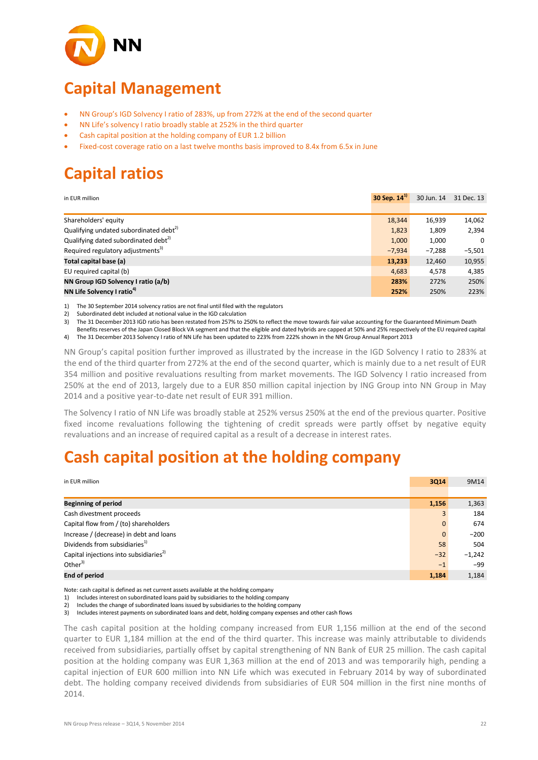

# **Capital Management**

- NN Group's IGD Solvency I ratio of 283%, up from 272% at the end of the second quarter
- NN Life's solvency I ratio broadly stable at 252% in the third quarter
- Cash capital position at the holding company of EUR 1.2 billion
- Fixed-cost coverage ratio on a last twelve months basis improved to 8.4x from 6.5x in June

# **Capital ratios**

| in EUR million                                     | 30 Sep. 14 <sup>1</sup> |          | 30 Jun. 14 31 Dec. 13 |
|----------------------------------------------------|-------------------------|----------|-----------------------|
|                                                    |                         |          |                       |
| Shareholders' equity                               | 18,344                  | 16,939   | 14,062                |
| Qualifying undated subordinated debt <sup>2)</sup> | 1,823                   | 1,809    | 2,394                 |
| Qualifying dated subordinated debt <sup>2)</sup>   | 1.000                   | 1,000    | $\Omega$              |
| Required regulatory adjustments <sup>3)</sup>      | $-7,934$                | $-7,288$ | $-5.501$              |
| Total capital base (a)                             | 13,233                  | 12,460   | 10,955                |
| EU required capital (b)                            | 4,683                   | 4,578    | 4,385                 |
| NN Group IGD Solvency I ratio (a/b)                | 283%                    | 272%     | 250%                  |
| NN Life Solvency I ratio <sup>4)</sup>             | 252%                    | 250%     | 223%                  |

1) The 30 September 2014 solvency ratios are not final until filed with the regulators<br>2) Subordinated debt included at notional value in the IGD calculation

2) Subordinated debt included at notional value in the IGD calculation<br>3) The 31 December 2013 IGD ratio has been restated from 257% to 2

3) The 31 December 2013 IGD ratio has been restated from 257% to 250% to reflect the move towards fair value accounting for the Guaranteed Minimum Death

Benefits reserves of the Japan Closed Block VA segment and that the eligible and dated hybrids are capped at 50% and 25% respectively of the EU required capital

4) The 31 December 2013 Solvency I ratio of NN Life has been updated to 223% from 222% shown in the NN Group Annual Report 2013

NN Group's capital position further improved as illustrated by the increase in the IGD Solvency I ratio to 283% at the end of the third quarter from 272% at the end of the second quarter, which is mainly due to a net result of EUR 354 million and positive revaluations resulting from market movements. The IGD Solvency I ratio increased from 250% at the end of 2013, largely due to a EUR 850 million capital injection by ING Group into NN Group in May 2014 and a positive year-to-date net result of EUR 391 million.

The Solvency I ratio of NN Life was broadly stable at 252% versus 250% at the end of the previous quarter. Positive fixed income revaluations following the tightening of credit spreads were partly offset by negative equity revaluations and an increase of required capital as a result of a decrease in interest rates.

## **Cash capital position at the holding company**

| in EUR million                                     | <b>3Q14</b>  | 9M14     |
|----------------------------------------------------|--------------|----------|
|                                                    |              |          |
| <b>Beginning of period</b>                         | 1,156        | 1,363    |
| Cash divestment proceeds                           | 3            | 184      |
| Capital flow from / (to) shareholders              | $\mathbf{0}$ | 674      |
| Increase / (decrease) in debt and loans            | $\mathbf{0}$ | $-200$   |
| Dividends from subsidiaries <sup>1)</sup>          | 58           | 504      |
| Capital injections into subsidiaries <sup>2)</sup> | $-32$        | $-1,242$ |
| Other $3)$                                         | $-1$         | $-99$    |
| <b>End of period</b>                               | 1,184        | 1,184    |

Note: cash capital is defined as net current assets available at the holding company

1) Includes interest on subordinated loans paid by subsidiaries to the holding company

2) Includes the change of subordinated loans issued by subsidiaries to the holding company

3) Includes interest payments on subordinated loans and debt, holding company expenses and other cash flows

The cash capital position at the holding company increased from EUR 1,156 million at the end of the second quarter to EUR 1,184 million at the end of the third quarter. This increase was mainly attributable to dividends received from subsidiaries, partially offset by capital strengthening of NN Bank of EUR 25 million. The cash capital position at the holding company was EUR 1,363 million at the end of 2013 and was temporarily high, pending a capital injection of EUR 600 million into NN Life which was executed in February 2014 by way of subordinated debt. The holding company received dividends from subsidiaries of EUR 504 million in the first nine months of 2014.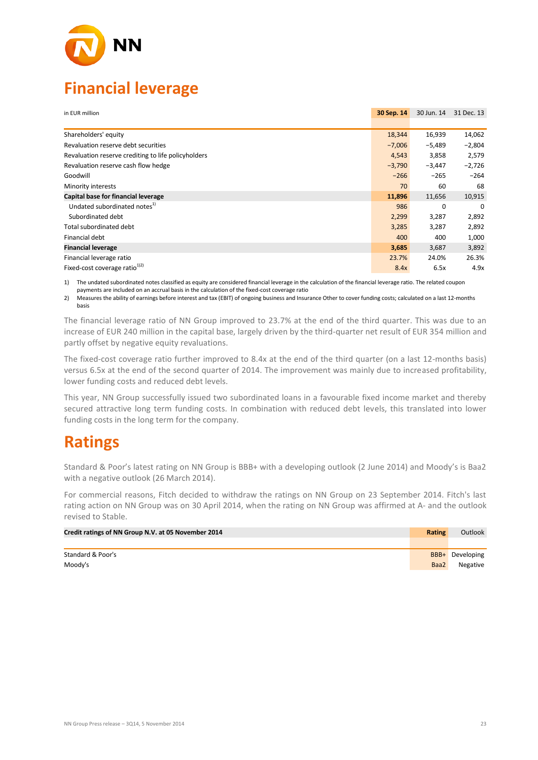

# **Financial leverage**

| in EUR million                                      | 30 Sep. 14 | 30 Jun. 14 | 31 Dec. 13 |
|-----------------------------------------------------|------------|------------|------------|
|                                                     |            |            |            |
| Shareholders' equity                                | 18,344     | 16,939     | 14,062     |
| Revaluation reserve debt securities                 | $-7,006$   | $-5,489$   | $-2,804$   |
| Revaluation reserve crediting to life policyholders | 4,543      | 3,858      | 2,579      |
| Revaluation reserve cash flow hedge                 | $-3,790$   | $-3,447$   | $-2,726$   |
| Goodwill                                            | $-266$     | $-265$     | $-264$     |
| Minority interests                                  | 70         | 60         | 68         |
| Capital base for financial leverage                 | 11,896     | 11,656     | 10,915     |
| Undated subordinated notes <sup>1)</sup>            | 986        | 0          | $\Omega$   |
| Subordinated debt                                   | 2,299      | 3,287      | 2,892      |
| Total subordinated debt                             | 3,285      | 3,287      | 2,892      |
| Financial debt                                      | 400        | 400        | 1,000      |
| <b>Financial leverage</b>                           | 3,685      | 3,687      | 3,892      |
| Financial leverage ratio                            | 23.7%      | 24.0%      | 26.3%      |
| Fixed-cost coverage ratio <sup>1)2)</sup>           | 8.4x       | 6.5x       | 4.9x       |

1) The undated subordinated notes classified as equity are considered financial leverage in the calculation of the financial leverage ratio. The related coupon

payments are included on an accrual basis in the calculation of the fixed-cost coverage ratio

2) Measures the ability of earnings before interest and tax (EBIT) of ongoing business and Insurance Other to cover funding costs; calculated on a last 12-months basis

The financial leverage ratio of NN Group improved to 23.7% at the end of the third quarter. This was due to an increase of EUR 240 million in the capital base, largely driven by the third-quarter net result of EUR 354 million and partly offset by negative equity revaluations.

The fixed-cost coverage ratio further improved to 8.4x at the end of the third quarter (on a last 12-months basis) versus 6.5x at the end of the second quarter of 2014. The improvement was mainly due to increased profitability, lower funding costs and reduced debt levels.

This year, NN Group successfully issued two subordinated loans in a favourable fixed income market and thereby secured attractive long term funding costs. In combination with reduced debt levels, this translated into lower funding costs in the long term for the company.

# **Ratings**

Standard & Poor's latest rating on NN Group is BBB+ with a developing outlook (2 June 2014) and Moody's is Baa2 with a negative outlook (26 March 2014).

For commercial reasons, Fitch decided to withdraw the ratings on NN Group on 23 September 2014. Fitch's last rating action on NN Group was on 30 April 2014, when the rating on NN Group was affirmed at A- and the outlook revised to Stable.

| Credit ratings of NN Group N.V. at 05 November 2014 | <b>Rating</b> | Outlook         |
|-----------------------------------------------------|---------------|-----------------|
|                                                     |               |                 |
| Standard & Poor's                                   |               | BBB+ Developing |
| Moody's                                             | Baa2          | Negative        |